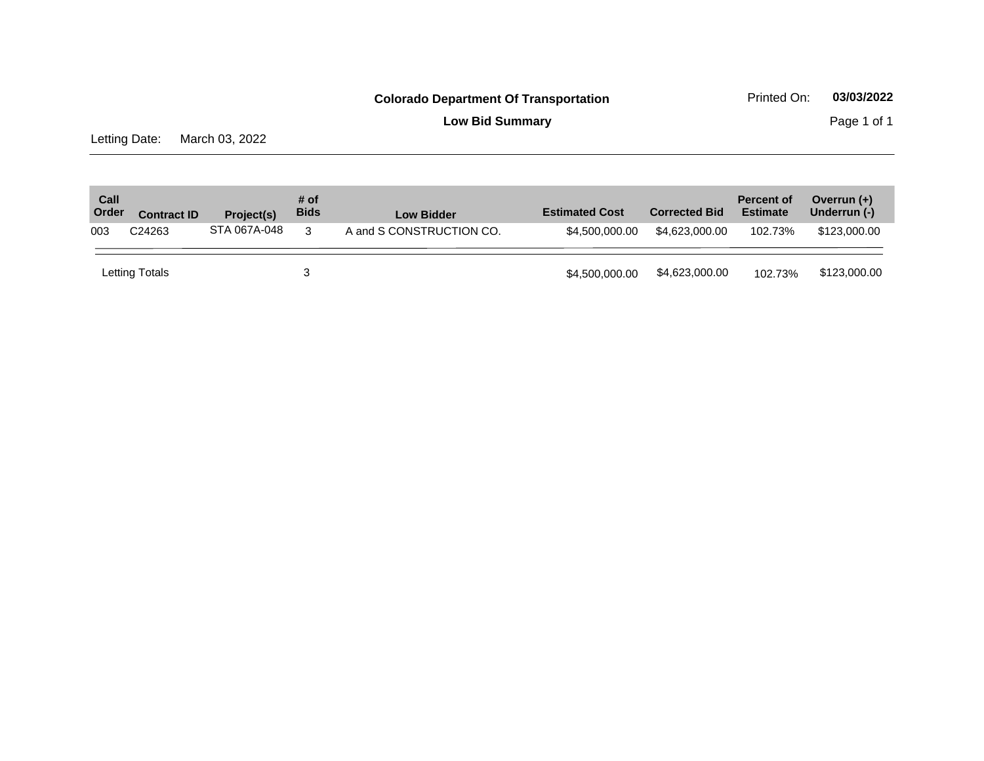**Low Bid Summary** Page 1 of 1

Letting Date: March 03, 2022

| Call<br>Order | <b>Contract ID</b> | <b>Project(s)</b> | # of<br><b>Bids</b> | <b>Low Bidder</b>        | <b>Estimated Cost</b> | <b>Corrected Bid</b> | <b>Percent of</b><br><b>Estimate</b> | Overrun $(+)$<br>Underrun (-) |
|---------------|--------------------|-------------------|---------------------|--------------------------|-----------------------|----------------------|--------------------------------------|-------------------------------|
| 003           | C24263             | STA 067A-048      | -3                  | A and S CONSTRUCTION CO. | \$4,500,000,00        | \$4,623,000,00       | 102.73%                              | \$123,000.00                  |
|               | Letting Totals     |                   |                     |                          | \$4,500,000,00        | \$4,623,000.00       | 102.73%                              | \$123,000.00                  |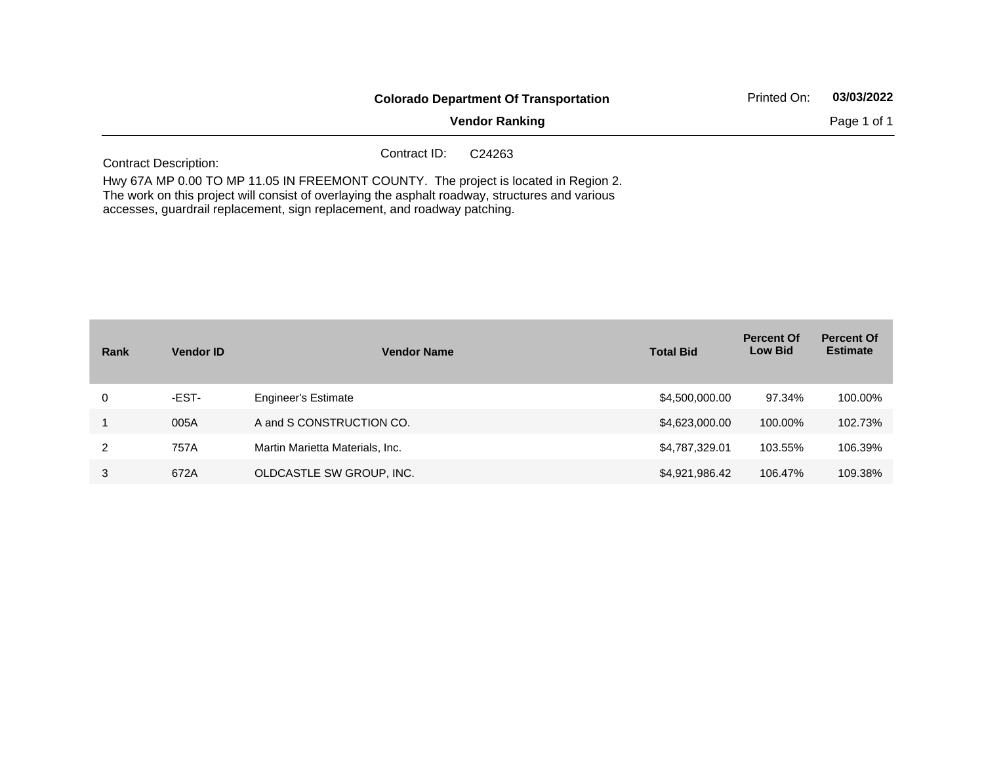|                              | <b>Colorado Department Of Transportation</b>                                                                                                                                           | Printed On: | 03/03/2022  |
|------------------------------|----------------------------------------------------------------------------------------------------------------------------------------------------------------------------------------|-------------|-------------|
|                              | <b>Vendor Ranking</b>                                                                                                                                                                  |             | Page 1 of 1 |
| <b>Contract Description:</b> | Contract ID:<br>C <sub>24263</sub>                                                                                                                                                     |             |             |
|                              | Hwy 67A MP 0.00 TO MP 11.05 IN FREEMONT COUNTY. The project is located in Region 2.<br>The work on this project will consist of overlaying the asphalt roadway, structures and various |             |             |

accesses, guardrail replacement, sign replacement, and roadway patching.

| Rank | <b>Vendor ID</b> | <b>Vendor Name</b>              | <b>Total Bid</b> | <b>Percent Of</b><br><b>Low Bid</b> | <b>Percent Of</b><br><b>Estimate</b> |
|------|------------------|---------------------------------|------------------|-------------------------------------|--------------------------------------|
| 0    | -EST-            | <b>Engineer's Estimate</b>      | \$4,500,000.00   | 97.34%                              | 100.00%                              |
|      | 005A             | A and S CONSTRUCTION CO.        | \$4,623,000.00   | 100.00%                             | 102.73%                              |
| 2    | 757A             | Martin Marietta Materials, Inc. | \$4,787,329.01   | 103.55%                             | 106.39%                              |
| 3    | 672A             | OLDCASTLE SW GROUP, INC.        | \$4,921,986.42   | 106.47%                             | 109.38%                              |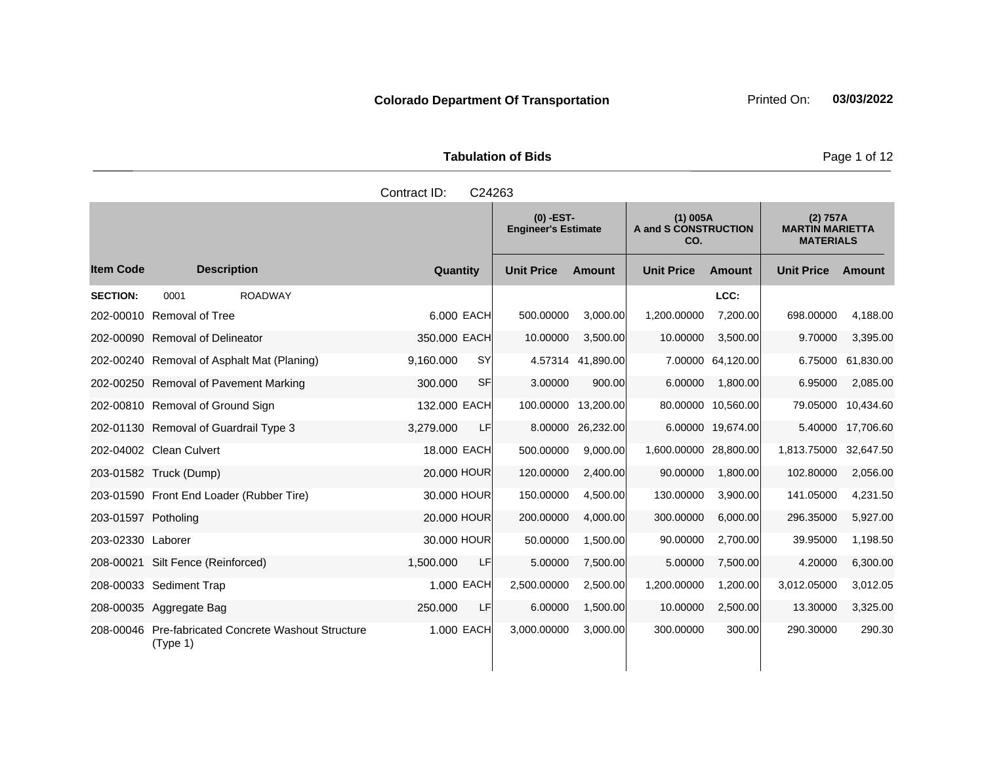| <b>Tabulation of Bids</b> |
|---------------------------|
|                           |

|                     |                                                                 | Contract ID: | C24263     |                                                                                        |                   |                                                        |                    |                       |                    |
|---------------------|-----------------------------------------------------------------|--------------|------------|----------------------------------------------------------------------------------------|-------------------|--------------------------------------------------------|--------------------|-----------------------|--------------------|
|                     |                                                                 |              |            | $(0)$ -EST-<br>$(1)$ 005A<br>A and S CONSTRUCTION<br><b>Engineer's Estimate</b><br>CO. |                   | (2) 757A<br><b>MARTIN MARIETTA</b><br><b>MATERIALS</b> |                    |                       |                    |
| <b>Item Code</b>    | <b>Description</b>                                              | Quantity     |            | <b>Unit Price</b>                                                                      | <b>Amount</b>     | <b>Unit Price</b>                                      | Amount             | <b>Unit Price</b>     | Amount             |
| <b>SECTION:</b>     | 0001<br><b>ROADWAY</b>                                          |              |            |                                                                                        |                   |                                                        | LCC:               |                       |                    |
|                     | 202-00010 Removal of Tree                                       |              | 6.000 EACH | 500.00000                                                                              | 3,000.00          | 1,200.00000                                            | 7,200.00           | 698.00000             | 4,188.00           |
|                     | 202-00090 Removal of Delineator                                 | 350.000 EACH |            | 10.00000                                                                               | 3,500.00          | 10.00000                                               | 3,500.00           | 9.70000               | 3,395.00           |
|                     | 202-00240 Removal of Asphalt Mat (Planing)                      | 9,160.000    | SY         |                                                                                        | 4.57314 41,890.00 |                                                        | 7.00000 64,120.00  | 6.75000               | 61,830.00          |
|                     | 202-00250 Removal of Pavement Marking                           | 300,000      | <b>SF</b>  | 3.00000                                                                                | 900.00            | 6.00000                                                | 1.800.00           | 6.95000               | 2,085.00           |
|                     | 202-00810 Removal of Ground Sign                                | 132.000 EACH |            | 100.00000                                                                              | 13,200.00         |                                                        | 80.00000 10,560.00 |                       | 79.05000 10,434.60 |
|                     | 202-01130 Removal of Guardrail Type 3                           | 3,279.000    | <b>LF</b>  | 8.00000                                                                                | 26,232.00         |                                                        | 6.00000 19,674.00  |                       | 5.40000 17,706.60  |
|                     | 202-04002 Clean Culvert                                         | 18.000 EACH  |            | 500.00000                                                                              | 9,000.00          | 1,600.00000 28,800.00                                  |                    | 1,813.75000 32,647.50 |                    |
|                     | 203-01582 Truck (Dump)                                          | 20.000 HOUR  |            | 120.00000                                                                              | 2,400.00          | 90.00000                                               | 1,800.00           | 102.80000             | 2,056.00           |
|                     | 203-01590 Front End Loader (Rubber Tire)                        | 30.000 HOUR  |            | 150.00000                                                                              | 4,500.00          | 130.00000                                              | 3,900.00           | 141.05000             | 4,231.50           |
| 203-01597 Potholing |                                                                 | 20,000 HOUR  |            | 200.00000                                                                              | 4,000.00          | 300.00000                                              | 6,000.00           | 296.35000             | 5,927.00           |
| 203-02330 Laborer   |                                                                 | 30,000 HOUR  |            | 50.00000                                                                               | 1,500.00          | 90.00000                                               | 2,700.00           | 39.95000              | 1,198.50           |
|                     | 208-00021 Silt Fence (Reinforced)                               | 1,500.000    | LF         | 5.00000                                                                                | 7,500.00          | 5.00000                                                | 7,500.00           | 4.20000               | 6,300.00           |
|                     | 208-00033 Sediment Trap                                         |              | 1.000 EACH | 2,500.00000                                                                            | 2,500.00          | 1,200.00000                                            | 1,200.00           | 3,012.05000           | 3,012.05           |
|                     | 208-00035 Aggregate Bag                                         | 250,000      | LF         | 6.00000                                                                                | 1,500.00          | 10.00000                                               | 2,500.00           | 13.30000              | 3,325.00           |
|                     | 208-00046 Pre-fabricated Concrete Washout Structure<br>(Type 1) |              | 1.000 EACH | 3,000.00000                                                                            | 3,000.00          | 300.00000                                              | 300.00             | 290.30000             | 290.30             |

**Page 1 of 12**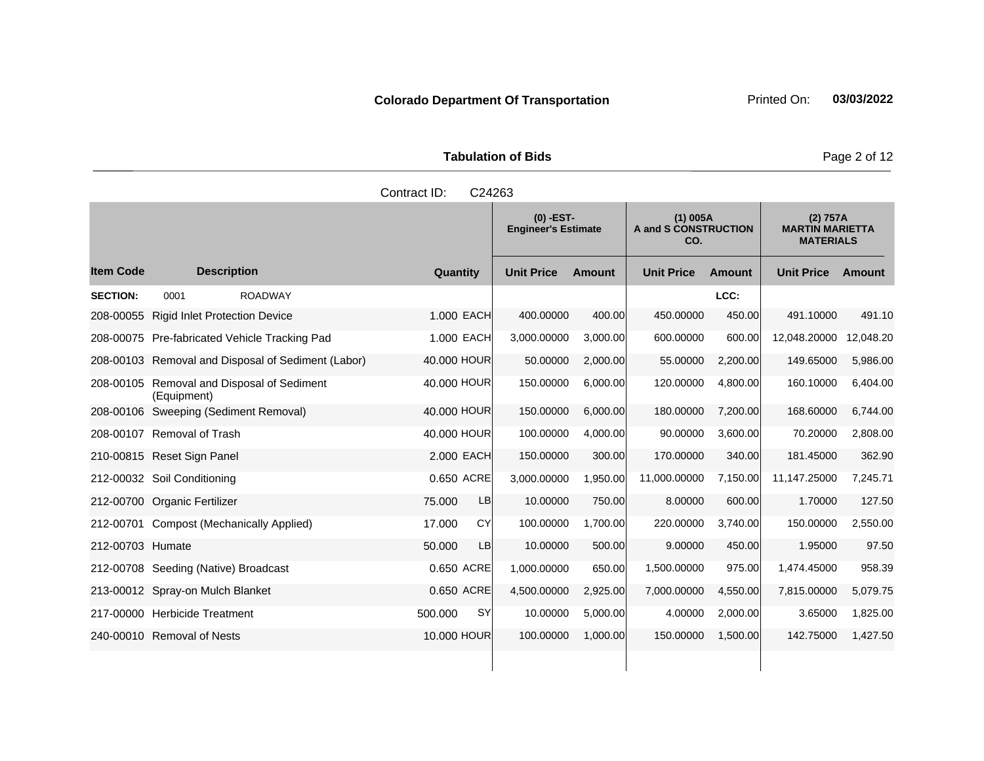**Tabulation of Bids Page 2 of 12** 

|                  |                                                           | Contract ID:<br>C24263 |                                           |               |                   |                                    |                   |                                                        |
|------------------|-----------------------------------------------------------|------------------------|-------------------------------------------|---------------|-------------------|------------------------------------|-------------------|--------------------------------------------------------|
|                  |                                                           |                        | $(0)$ -EST-<br><b>Engineer's Estimate</b> |               | CO.               | $(1)$ 005A<br>A and S CONSTRUCTION |                   | (2) 757A<br><b>MARTIN MARIETTA</b><br><b>MATERIALS</b> |
| <b>Item Code</b> | <b>Description</b>                                        | Quantity               | <b>Unit Price</b>                         | <b>Amount</b> | <b>Unit Price</b> | <b>Amount</b>                      | <b>Unit Price</b> | Amount                                                 |
| <b>SECTION:</b>  | <b>ROADWAY</b><br>0001                                    |                        |                                           |               |                   | LCC:                               |                   |                                                        |
| 208-00055        | <b>Rigid Inlet Protection Device</b>                      | 1.000 EACH             | 400.00000                                 | 400.00        | 450.00000         | 450.00                             | 491.10000         | 491.10                                                 |
|                  | 208-00075 Pre-fabricated Vehicle Tracking Pad             | 1.000 EACH             | 3,000.00000                               | 3,000.00      | 600.00000         | 600.00                             | 12,048.20000      | 12,048.20                                              |
|                  | 208-00103 Removal and Disposal of Sediment (Labor)        | 40.000 HOUR            | 50.00000                                  | 2,000.00      | 55.00000          | 2,200.00                           | 149.65000         | 5,986.00                                               |
|                  | 208-00105 Removal and Disposal of Sediment<br>(Equipment) | 40,000 HOUR            | 150.00000                                 | 6,000.00      | 120.00000         | 4,800.00                           | 160.10000         | 6,404.00                                               |
|                  | 208-00106 Sweeping (Sediment Removal)                     | 40,000 HOUR            | 150.00000                                 | 6.000.00      | 180.00000         | 7,200.00                           | 168.60000         | 6,744.00                                               |
|                  | 208-00107 Removal of Trash                                | 40.000 HOUR            | 100.00000                                 | 4,000.00      | 90.00000          | 3,600.00                           | 70.20000          | 2,808.00                                               |
|                  | 210-00815 Reset Sign Panel                                | 2.000 EACH             | 150.00000                                 | 300.00        | 170.00000         | 340.00                             | 181.45000         | 362.90                                                 |
|                  | 212-00032 Soil Conditioning                               | 0.650 ACRE             | 3,000.00000                               | 1,950.00      | 11,000.00000      | 7,150.00                           | 11,147.25000      | 7,245.71                                               |
|                  | 212-00700 Organic Fertilizer                              | LB<br>75.000           | 10.00000                                  | 750.00        | 8.00000           | 600.00                             | 1.70000           | 127.50                                                 |
|                  | 212-00701 Compost (Mechanically Applied)                  | 17.000<br>CY           | 100.00000                                 | 1,700.00      | 220.00000         | 3,740.00                           | 150.00000         | 2,550.00                                               |
| 212-00703 Humate |                                                           | 50.000<br><b>LB</b>    | 10.00000                                  | 500.00        | 9.00000           | 450.00                             | 1.95000           | 97.50                                                  |
|                  | 212-00708 Seeding (Native) Broadcast                      | 0.650 ACRE             | 1,000.00000                               | 650.00        | 1,500.00000       | 975.00                             | 1,474.45000       | 958.39                                                 |
|                  | 213-00012 Spray-on Mulch Blanket                          | 0.650 ACRE             | 4,500.00000                               | 2,925.00      | 7,000.00000       | 4,550.00                           | 7,815.00000       | 5,079.75                                               |
|                  | 217-00000 Herbicide Treatment                             | <b>SY</b><br>500.000   | 10.00000                                  | 5,000.00      | 4.00000           | 2,000.00                           | 3.65000           | 1,825.00                                               |
|                  | 240-00010 Removal of Nests                                | 10.000 HOUR            | 100.00000                                 | 1,000.00      | 150.00000         | 1,500.00                           | 142.75000         | 1,427.50                                               |
|                  |                                                           |                        |                                           |               |                   |                                    |                   |                                                        |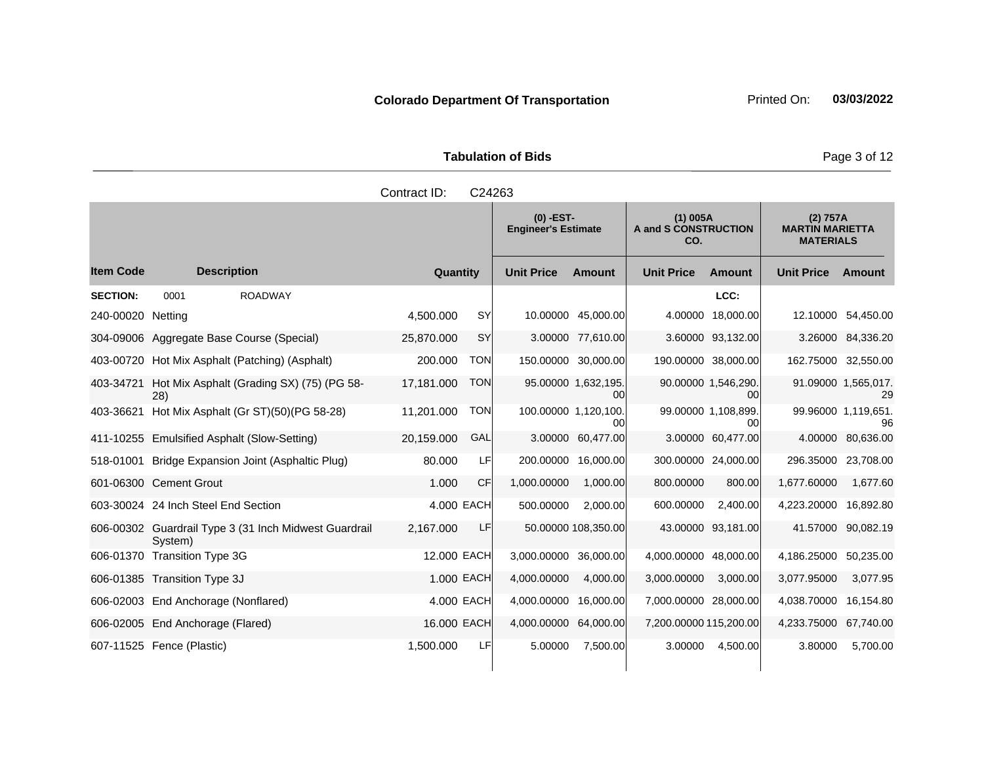| <b>Tabulation of Bids</b> |  |  |  |  |  |  |  |
|---------------------------|--|--|--|--|--|--|--|
| Contract ID: C24263       |  |  |  |  |  |  |  |

|                   |                                                                  |                 |            | $(0)$ -EST-<br><b>Engineer's Estimate</b> |                           | $(1)$ 005A<br>A and S CONSTRUCTION<br>CO. |                           | (2) 757A<br><b>MARTIN MARIETTA</b><br><b>MATERIALS</b> |                           |
|-------------------|------------------------------------------------------------------|-----------------|------------|-------------------------------------------|---------------------------|-------------------------------------------|---------------------------|--------------------------------------------------------|---------------------------|
| <b>Item Code</b>  | <b>Description</b>                                               | <b>Quantity</b> |            | <b>Unit Price</b>                         | <b>Amount</b>             | <b>Unit Price</b>                         | <b>Amount</b>             | <b>Unit Price</b>                                      | Amount                    |
| <b>SECTION:</b>   | <b>ROADWAY</b><br>0001                                           |                 |            |                                           |                           |                                           | LCC:                      |                                                        |                           |
| 240-00020 Netting |                                                                  | 4,500.000       | <b>SY</b>  |                                           | 10.00000 45,000.00        |                                           | 4.00000 18,000.00         |                                                        | 12.10000 54,450.00        |
|                   | 304-09006 Aggregate Base Course (Special)                        | 25,870.000      | <b>SY</b>  |                                           | 3.00000 77,610.00         |                                           | 3.60000 93,132.00         |                                                        | 3.26000 84,336.20         |
| 403-00720         | Hot Mix Asphalt (Patching) (Asphalt)                             | 200.000         | <b>TON</b> | 150.00000                                 | 30.000.00                 |                                           | 190.00000 38,000.00       | 162.75000 32,550.00                                    |                           |
| 403-34721         | Hot Mix Asphalt (Grading SX) (75) (PG 58-<br>28)                 | 17,181.000      | <b>TON</b> |                                           | 95.00000 1,632,195.<br>00 |                                           | 90.00000 1,546,290.<br>00 |                                                        | 91.09000 1.565,017.<br>29 |
| 403-36621         | Hot Mix Asphalt (Gr ST)(50)(PG 58-28)                            | 11,201.000      | <b>TON</b> | 100.00000 1,120,100.                      | 00                        |                                           | 99.00000 1,108,899.<br>00 |                                                        | 99.96000 1,119,651.<br>96 |
|                   | 411-10255 Emulsified Asphalt (Slow-Setting)                      | 20.159.000      | GAL        | 3.00000                                   | 60,477.00                 |                                           | 3.00000 60,477.00         |                                                        | 4.00000 80,636.00         |
| 518-01001         | Bridge Expansion Joint (Asphaltic Plug)                          | 80,000          | LF         | 200.00000                                 | 16,000.00                 |                                           | 300.00000 24,000.00       | 296.35000 23,708.00                                    |                           |
|                   | 601-06300 Cement Grout                                           | 1.000           | <b>CF</b>  | 1,000.00000                               | 1,000.00                  | 800.00000                                 | 800.00                    | 1,677.60000                                            | 1,677.60                  |
|                   | 603-30024 24 Inch Steel End Section                              |                 | 4.000 EACH | 500.00000                                 | 2,000.00                  | 600.00000                                 | 2,400.00                  | 4,223.20000 16,892.80                                  |                           |
|                   | 606-00302 Guardrail Type 3 (31 Inch Midwest Guardrail<br>System) | 2,167.000       | LF         |                                           | 50.00000 108,350.00       |                                           | 43.00000 93.181.00        |                                                        | 41.57000 90.082.19        |
|                   | 606-01370 Transition Type 3G                                     | 12.000 EACH     |            | 3,000.00000                               | 36,000.00                 | 4,000.00000                               | 48,000.00                 | 4,186.25000                                            | 50,235.00                 |
|                   | 606-01385 Transition Type 3J                                     |                 | 1.000 EACH | 4,000.00000                               | 4,000.00                  | 3,000.00000                               | 3,000.00                  | 3,077.95000                                            | 3,077.95                  |
|                   | 606-02003 End Anchorage (Nonflared)                              |                 | 4.000 EACH | 4,000.00000                               | 16,000.00                 | 7,000.00000 28,000.00                     |                           | 4,038.70000                                            | 16,154.80                 |
|                   | 606-02005 End Anchorage (Flared)                                 | 16.000 EACH     |            | 4,000.00000                               | 64,000.00                 | 7,200.00000 115,200.00                    |                           | 4,233.75000 67,740.00                                  |                           |
|                   | 607-11525 Fence (Plastic)                                        | 1,500.000       | LF         | 5.00000                                   | 7,500.00                  | 3.00000                                   | 4,500.00                  | 3.80000                                                | 5,700.00                  |

**Contract Contract** 

**Page 3 of 12**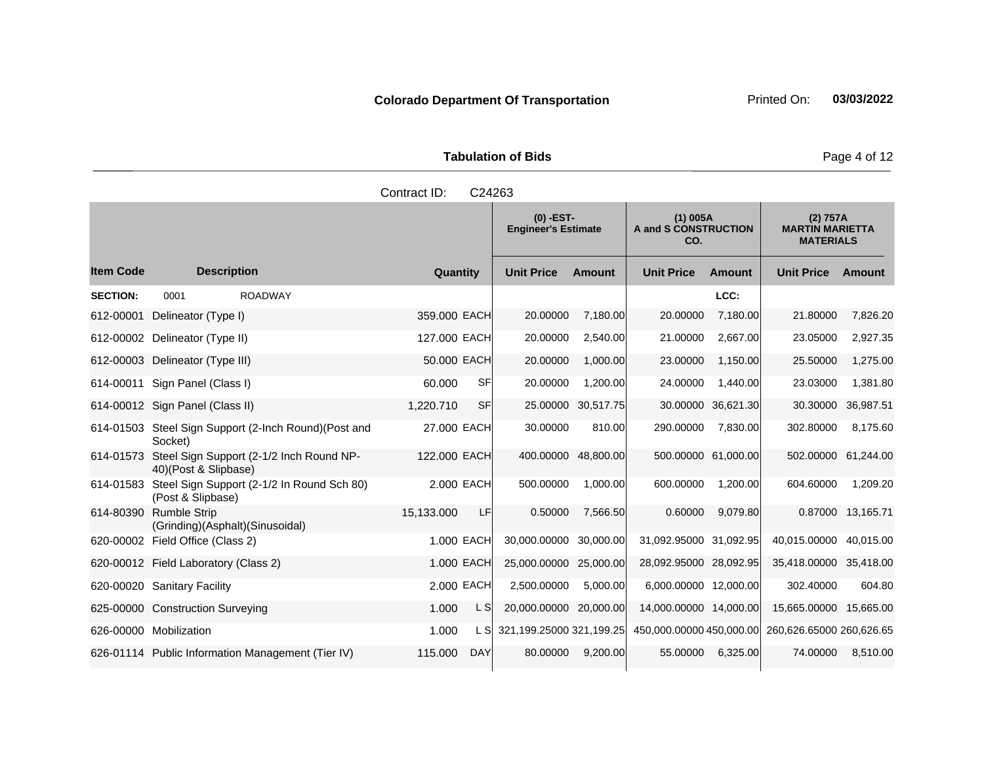| <b>Tabulation of Bids</b><br>Contract ID:<br>C24263<br>$(1)$ 005A<br>O) -EST-<br>Engineer's Estimate |  |                             |  |  |  |  |  |  |
|------------------------------------------------------------------------------------------------------|--|-----------------------------|--|--|--|--|--|--|
|                                                                                                      |  | A and S CONSTRUCTION<br>CO. |  |  |  |  |  |  |

|                  |                                                                           |                        | $(0)$ -EST-<br>$(1)$ 005A<br><b>Engineer's Estimate</b><br>A and S CONSTRUCTION<br>CO. |                    | (2) 757A<br><b>MARTIN MARIETTA</b><br><b>MATERIALS</b> |                    |                          |                   |
|------------------|---------------------------------------------------------------------------|------------------------|----------------------------------------------------------------------------------------|--------------------|--------------------------------------------------------|--------------------|--------------------------|-------------------|
| <b>Item Code</b> | <b>Description</b>                                                        | Quantity               | <b>Unit Price</b>                                                                      | <b>Amount</b>      | <b>Unit Price</b>                                      | <b>Amount</b>      | <b>Unit Price</b>        | Amount            |
| <b>SECTION:</b>  | 0001<br><b>ROADWAY</b>                                                    |                        |                                                                                        |                    |                                                        | LCC:               |                          |                   |
| 612-00001        | Delineator (Type I)                                                       | 359.000 EACH           | 20.00000                                                                               | 7,180.00           | 20.00000                                               | 7,180.00           | 21.80000                 | 7,826.20          |
|                  | 612-00002 Delineator (Type II)                                            | 127.000 EACH           | 20.00000                                                                               | 2,540.00           | 21.00000                                               | 2,667.00           | 23.05000                 | 2,927.35          |
|                  | 612-00003 Delineator (Type III)                                           | 50.000 EACH            | 20.00000                                                                               | 1,000.00           | 23.00000                                               | 1,150.00           | 25.50000                 | 1,275.00          |
| 614-00011        | Sign Panel (Class I)                                                      | <b>SF</b><br>60.000    | 20.00000                                                                               | 1,200.00           | 24.00000                                               | 1,440.00           | 23.03000                 | 1,381.80          |
|                  | 614-00012 Sign Panel (Class II)                                           | <b>SF</b><br>1,220.710 |                                                                                        | 25.00000 30,517.75 |                                                        | 30.00000 36,621.30 | 30.30000                 | 36,987.51         |
|                  | 614-01503 Steel Sign Support (2-lnch Round) (Post and<br>Socket)          | 27.000 EACH            | 30.00000                                                                               | 810.00             | 290.00000                                              | 7,830.00           | 302.80000                | 8,175.60          |
| 614-01573        | Steel Sign Support (2-1/2 Inch Round NP-<br>40)(Post & Slipbase)          | 122.000 EACH           | 400.00000 48,800.00                                                                    |                    | 500.00000 61,000.00                                    |                    | 502.00000                | 61,244.00         |
|                  | 614-01583 Steel Sign Support (2-1/2 In Round Sch 80)<br>(Post & Slipbase) | 2,000 EACH             | 500.00000                                                                              | 1,000.00           | 600.00000                                              | 1,200.00           | 604.60000                | 1,209.20          |
| 614-80390        | <b>Rumble Strip</b><br>(Grinding)(Asphalt)(Sinusoidal)                    | 15,133.000<br>LF       | 0.50000                                                                                | 7,566.50           | 0.60000                                                | 9,079.80           |                          | 0.87000 13,165.71 |
|                  | 620-00002 Field Office (Class 2)                                          | 1.000 EACH             | 30,000.00000 30,000.00                                                                 |                    | 31,092.95000 31,092.95                                 |                    | 40,015.00000             | 40,015.00         |
|                  | 620-00012 Field Laboratory (Class 2)                                      | 1.000 EACH             | 25,000.00000 25,000.00                                                                 |                    | 28,092.95000 28,092.95                                 |                    | 35,418.00000 35,418.00   |                   |
|                  | 620-00020 Sanitary Facility                                               | 2.000 EACH             | 2,500.00000                                                                            | 5,000.00           | 6,000.00000 12,000.00                                  |                    | 302.40000                | 604.80            |
|                  | 625-00000 Construction Surveying                                          | 1.000<br>L S           | 20,000.00000 20,000.00                                                                 |                    | 14,000.00000 14,000.00                                 |                    | 15,665.00000             | 15,665.00         |
|                  | 626-00000 Mobilization                                                    | 1.000<br>L SI          | 321,199.25000 321,199.25                                                               |                    | 450,000.00000 450,000.00                               |                    | 260,626.65000 260,626.65 |                   |
|                  | 626-01114 Public Information Management (Tier IV)                         | 115.000<br><b>DAY</b>  | 80.00000                                                                               | 9,200.00           | 55.00000                                               | 6,325.00           | 74.00000                 | 8,510.00          |

**Page 4 of 12**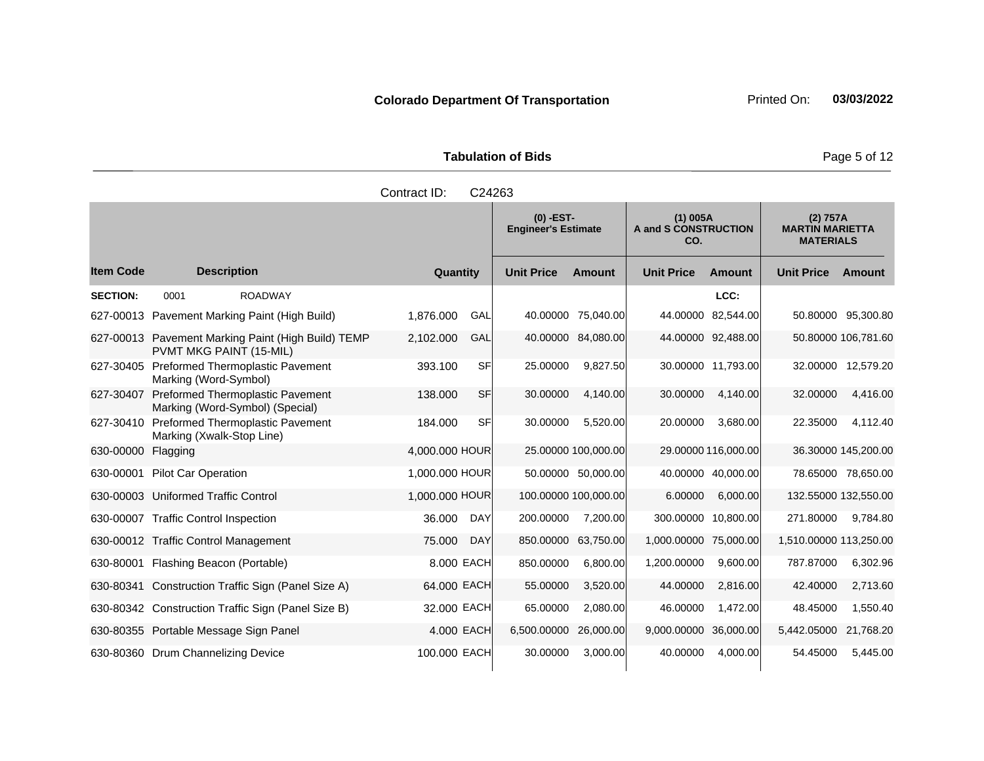**Tabulation of Bids Page 5 of 12** 

|                  |                                                                               | Contract ID:   | C24263     |                                                                                        |                     |                                                        |                     |                        |                     |
|------------------|-------------------------------------------------------------------------------|----------------|------------|----------------------------------------------------------------------------------------|---------------------|--------------------------------------------------------|---------------------|------------------------|---------------------|
|                  |                                                                               |                |            | $(0)$ -EST-<br>$(1)$ 005A<br><b>Engineer's Estimate</b><br>A and S CONSTRUCTION<br>CO. |                     | (2) 757A<br><b>MARTIN MARIETTA</b><br><b>MATERIALS</b> |                     |                        |                     |
| <b>Item Code</b> | <b>Description</b>                                                            | Quantity       |            | <b>Unit Price</b>                                                                      | Amount              | <b>Unit Price</b>                                      | <b>Amount</b>       | <b>Unit Price</b>      | Amount              |
| <b>SECTION:</b>  | 0001<br><b>ROADWAY</b>                                                        |                |            |                                                                                        |                     |                                                        | LCC:                |                        |                     |
|                  | 627-00013 Pavement Marking Paint (High Build)                                 | 1,876.000      | GAL        |                                                                                        | 40.00000 75,040.00  | 44.00000                                               | 82,544.00           |                        | 50.80000 95,300.80  |
|                  | 627-00013 Pavement Marking Paint (High Build) TEMP<br>PVMT MKG PAINT (15-MIL) | 2,102.000      | GAL        | 40.00000                                                                               | 84,080.00           |                                                        | 44.00000 92,488.00  |                        | 50.80000 106,781.60 |
| 627-30405        | Preformed Thermoplastic Pavement<br>Marking (Word-Symbol)                     | 393.100        | <b>SF</b>  | 25.00000                                                                               | 9,827.50            |                                                        | 30.00000 11,793.00  | 32.00000               | 12,579.20           |
| 627-30407        | Preformed Thermoplastic Pavement<br>Marking (Word-Symbol) (Special)           | 138.000        | <b>SF</b>  | 30.00000                                                                               | 4,140.00            | 30.00000                                               | 4,140.00            | 32.00000               | 4,416.00            |
| 627-30410        | Preformed Thermoplastic Pavement<br>Marking (Xwalk-Stop Line)                 | 184.000        | <b>SF</b>  | 30.00000                                                                               | 5,520.00            | 20.00000                                               | 3,680.00            | 22.35000               | 4,112.40            |
| 630-00000        | Flagging                                                                      | 4,000.000 HOUR |            |                                                                                        | 25.00000 100,000.00 |                                                        | 29.00000 116,000.00 |                        | 36.30000 145,200.00 |
| 630-00001        | <b>Pilot Car Operation</b>                                                    | 1.000.000 HOUR |            |                                                                                        | 50.00000 50,000.00  |                                                        | 40.00000 40,000.00  |                        | 78.65000 78,650.00  |
|                  | 630-00003 Uniformed Traffic Control                                           | 1,000.000 HOUR |            | 100.00000 100,000.00                                                                   |                     | 6.00000                                                | 6,000.00            | 132.55000 132,550.00   |                     |
|                  | 630-00007 Traffic Control Inspection                                          | 36.000         | <b>DAY</b> | 200.00000                                                                              | 7,200.00            | 300.00000                                              | 10,800.00           | 271.80000              | 9,784.80            |
|                  | 630-00012 Traffic Control Management                                          | 75.000         | <b>DAY</b> | 850.00000                                                                              | 63,750.00           | 1,000.00000 75,000.00                                  |                     | 1,510.00000 113,250.00 |                     |
|                  | 630-80001 Flashing Beacon (Portable)                                          | 8.000 EACH     |            | 850.00000                                                                              | 6,800.00            | 1,200.00000                                            | 9,600.00            | 787.87000              | 6,302.96            |
|                  | 630-80341 Construction Traffic Sign (Panel Size A)                            | 64,000 EACH    |            | 55.00000                                                                               | 3,520.00            | 44.00000                                               | 2,816.00            | 42.40000               | 2,713.60            |
|                  | 630-80342 Construction Traffic Sign (Panel Size B)                            | 32,000 EACH    |            | 65.00000                                                                               | 2,080.00            | 46.00000                                               | 1,472.00            | 48.45000               | 1,550.40            |
|                  | 630-80355 Portable Message Sign Panel                                         | 4,000 EACH     |            | 6,500.00000                                                                            | 26,000.00           | 9,000.00000                                            | 36,000.00           | 5,442.05000            | 21,768.20           |
|                  | 630-80360 Drum Channelizing Device                                            | 100.000 EACH   |            | 30.00000                                                                               | 3,000.00            | 40.00000                                               | 4,000.00            | 54.45000               | 5,445.00            |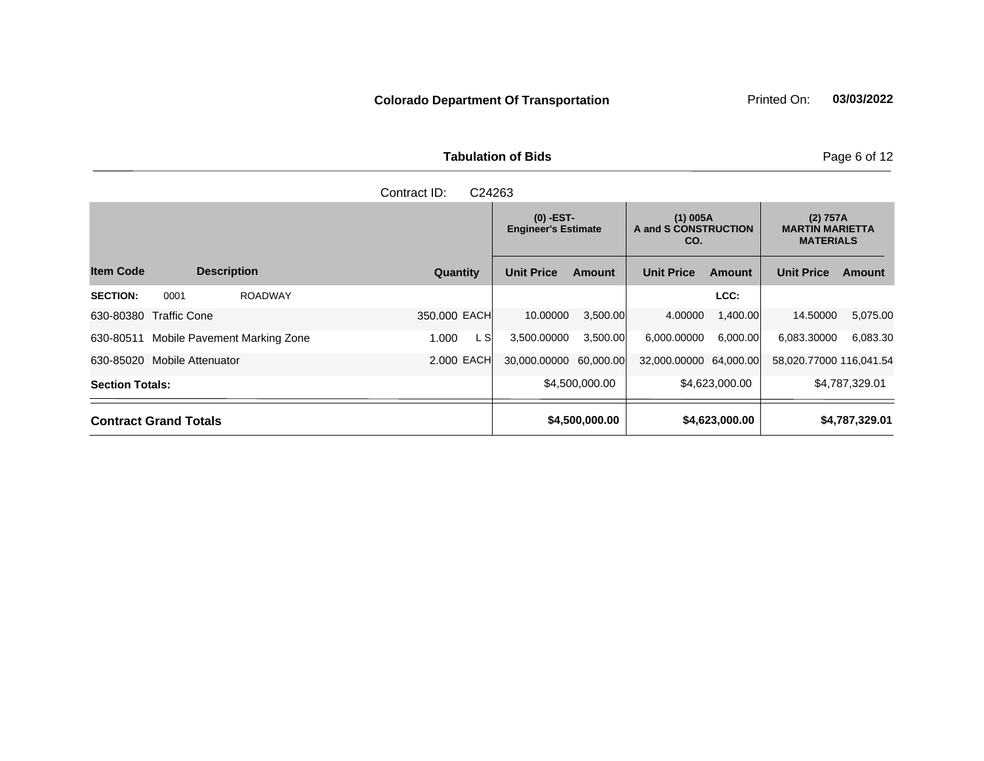| Contract ID:<br>C24263                    |               |                                           |                |                                           |                |                                                        |                |  |  |  |
|-------------------------------------------|---------------|-------------------------------------------|----------------|-------------------------------------------|----------------|--------------------------------------------------------|----------------|--|--|--|
|                                           |               | $(0)$ -EST-<br><b>Engineer's Estimate</b> |                | $(1)$ 005A<br>A and S CONSTRUCTION<br>CO. |                | (2) 757A<br><b>MARTIN MARIETTA</b><br><b>MATERIALS</b> |                |  |  |  |
| <b>Item Code</b><br><b>Description</b>    | Quantity      | <b>Unit Price</b>                         | <b>Amount</b>  | <b>Unit Price</b>                         | <b>Amount</b>  | <b>Unit Price</b>                                      | Amount         |  |  |  |
| <b>SECTION:</b><br>0001<br><b>ROADWAY</b> |               |                                           |                |                                           | LCC:           |                                                        |                |  |  |  |
| 630-80380 Traffic Cone                    | 350,000 EACH  | 10.00000                                  | 3,500.00       | 4.00000                                   | 1,400.00       | 14.50000                                               | 5,075.00       |  |  |  |
| Mobile Pavement Marking Zone<br>630-80511 | L SI<br>1.000 | 3,500.00000                               | 3,500.00       | 6,000.00000                               | 6,000.00       | 6,083.30000                                            | 6,083.30       |  |  |  |
| 630-85020 Mobile Attenuator               | 2.000 EACH    | 30,000.00000                              | 60,000.00      | 32,000.00000 64,000.00                    |                | 58,020.77000 116,041.54                                |                |  |  |  |
| <b>Section Totals:</b>                    |               |                                           | \$4,500,000.00 |                                           | \$4,623,000.00 |                                                        | \$4,787,329.01 |  |  |  |
| <b>Contract Grand Totals</b>              |               |                                           | \$4,500,000.00 |                                           | \$4,623,000.00 |                                                        | \$4,787,329.01 |  |  |  |

Tabulation of Bids **Page 6 of 12**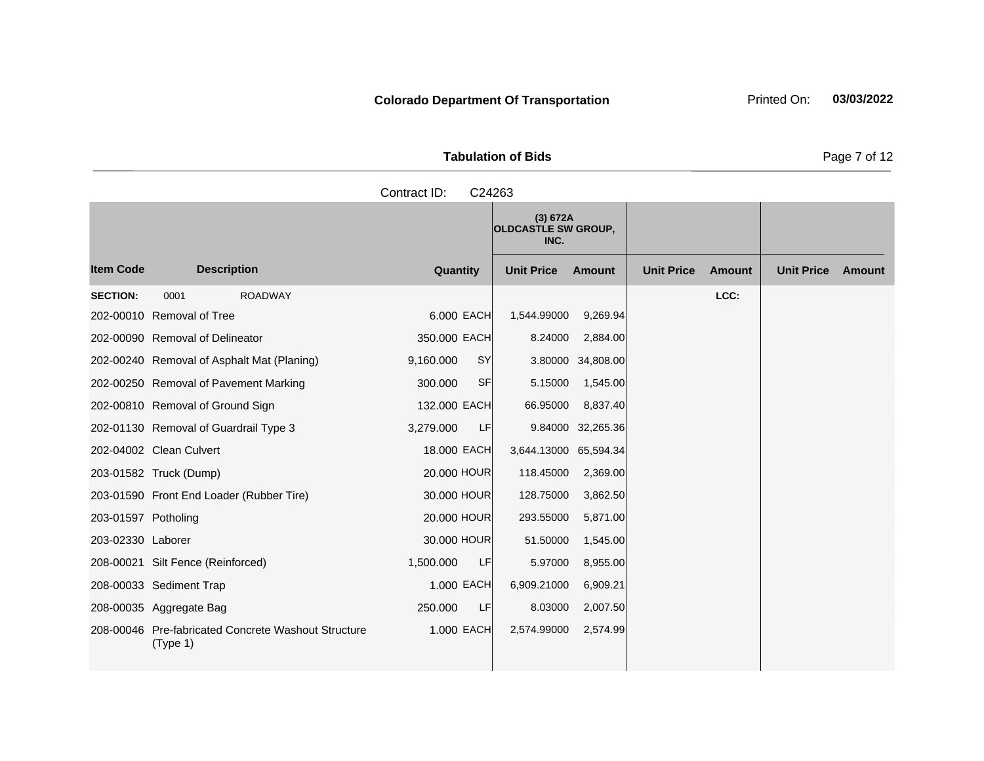|                  | <b>Tabulation of Bids</b> |                   |                                                |                             |                                    |  |
|------------------|---------------------------|-------------------|------------------------------------------------|-----------------------------|------------------------------------|--|
|                  |                           | Contract ID:      | C24263                                         |                             |                                    |  |
|                  |                           |                   | (3) 672A<br><b>OLDCASTLE SW GROUP,</b><br>INC. |                             |                                    |  |
| <b>Item Code</b> | <b>Description</b>        | Quantity          | <b>Unit Price</b><br>Amount                    | <b>Unit Price</b><br>Amount | <b>Unit Price</b><br><b>Amount</b> |  |
| <b>SECTION:</b>  | 0001<br><b>ROADWAY</b>    | - - - - - - - - - | .                                              | LCC:                        |                                    |  |

|                     |                                                                 |              |           | (3) 672A<br><b>OLDCASTLE SW GROUP,</b><br>INC. |                   |                   |               |                   |        |
|---------------------|-----------------------------------------------------------------|--------------|-----------|------------------------------------------------|-------------------|-------------------|---------------|-------------------|--------|
| <b>Item Code</b>    | <b>Description</b>                                              | Quantity     |           | <b>Unit Price</b>                              | <b>Amount</b>     | <b>Unit Price</b> | <b>Amount</b> | <b>Unit Price</b> | Amount |
| <b>SECTION:</b>     | <b>ROADWAY</b><br>0001                                          |              |           |                                                |                   |                   | LCC:          |                   |        |
|                     | 202-00010 Removal of Tree                                       | 6.000 EACH   |           | 1,544.99000                                    | 9,269.94          |                   |               |                   |        |
|                     | 202-00090 Removal of Delineator                                 | 350.000 EACH |           | 8.24000                                        | 2,884.00          |                   |               |                   |        |
|                     | 202-00240 Removal of Asphalt Mat (Planing)                      | 9,160.000    | <b>SY</b> |                                                | 3.80000 34,808.00 |                   |               |                   |        |
|                     | 202-00250 Removal of Pavement Marking                           | 300.000      | <b>SF</b> | 5.15000                                        | 1,545.00          |                   |               |                   |        |
|                     | 202-00810 Removal of Ground Sign                                | 132.000 EACH |           | 66.95000                                       | 8,837.40          |                   |               |                   |        |
|                     | 202-01130 Removal of Guardrail Type 3                           | 3,279.000    | LF        |                                                | 9.84000 32,265.36 |                   |               |                   |        |
|                     | 202-04002 Clean Culvert                                         | 18,000 EACH  |           | 3,644.13000 65,594.34                          |                   |                   |               |                   |        |
|                     | 203-01582 Truck (Dump)                                          | 20.000 HOUR  |           | 118.45000                                      | 2,369.00          |                   |               |                   |        |
|                     | 203-01590 Front End Loader (Rubber Tire)                        | 30.000 HOUR  |           | 128.75000                                      | 3,862.50          |                   |               |                   |        |
| 203-01597 Potholing |                                                                 | 20.000 HOUR  |           | 293.55000                                      | 5,871.00          |                   |               |                   |        |
| 203-02330 Laborer   |                                                                 | 30.000 HOUR  |           | 51.50000                                       | 1,545.00          |                   |               |                   |        |
|                     | 208-00021 Silt Fence (Reinforced)                               | 1,500.000    | LF        | 5.97000                                        | 8,955.00          |                   |               |                   |        |
|                     | 208-00033 Sediment Trap                                         | 1.000 EACH   |           | 6,909.21000                                    | 6,909.21          |                   |               |                   |        |
|                     | 208-00035 Aggregate Bag                                         | 250.000      | LF        | 8.03000                                        | 2,007.50          |                   |               |                   |        |
|                     | 208-00046 Pre-fabricated Concrete Washout Structure<br>(Type 1) | 1.000 EACH   |           | 2,574.99000                                    | 2,574.99          |                   |               |                   |        |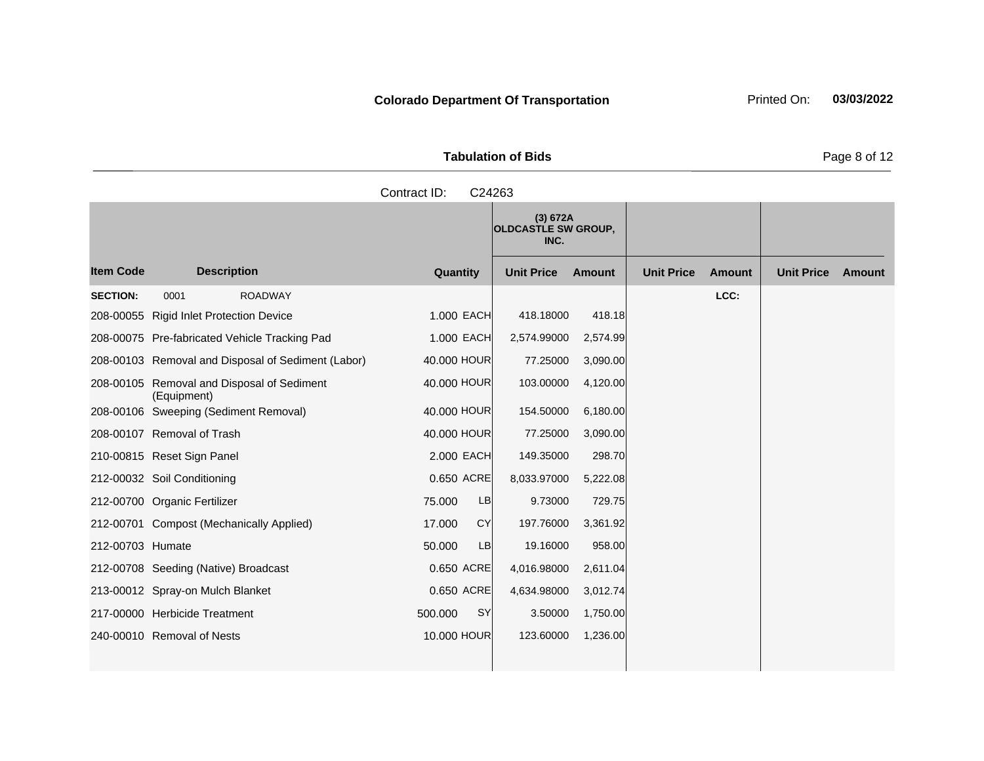the control of the control of the

|                    | Page 8 o     |                                                |                   |        |                   |     |
|--------------------|--------------|------------------------------------------------|-------------------|--------|-------------------|-----|
|                    | Contract ID: | C <sub>24263</sub>                             |                   |        |                   |     |
|                    |              | (3) 672A<br><b>OLDCASTLE SW GROUP,</b><br>INC. |                   |        |                   |     |
| <b>Description</b> | Quantity     | <b>Unit Price</b><br>Amount                    | <b>Unit Price</b> | Amount | <b>Unit Price</b> | Amo |

|                  |                                                           |                      | (3) 672A<br><b>OLDCASTLE SW GROUP,</b><br>INC. |               |                   |               |                   |        |
|------------------|-----------------------------------------------------------|----------------------|------------------------------------------------|---------------|-------------------|---------------|-------------------|--------|
| <b>Item Code</b> | <b>Description</b>                                        | Quantity             | <b>Unit Price</b>                              | <b>Amount</b> | <b>Unit Price</b> | <b>Amount</b> | <b>Unit Price</b> | Amount |
| <b>SECTION:</b>  | 0001<br><b>ROADWAY</b>                                    |                      |                                                |               |                   | LCC:          |                   |        |
|                  | 208-00055 Rigid Inlet Protection Device                   | 1.000 EACH           | 418.18000                                      | 418.18        |                   |               |                   |        |
|                  | 208-00075 Pre-fabricated Vehicle Tracking Pad             | 1.000 EACH           | 2,574.99000                                    | 2,574.99      |                   |               |                   |        |
|                  | 208-00103 Removal and Disposal of Sediment (Labor)        | 40,000 HOUR          | 77.25000                                       | 3,090.00      |                   |               |                   |        |
|                  | 208-00105 Removal and Disposal of Sediment<br>(Equipment) | 40.000 HOUR          | 103.00000                                      | 4,120.00      |                   |               |                   |        |
|                  | 208-00106 Sweeping (Sediment Removal)                     | 40.000 HOUR          | 154.50000                                      | 6,180.00      |                   |               |                   |        |
|                  | 208-00107 Removal of Trash                                | 40.000 HOUR          | 77.25000                                       | 3,090.00      |                   |               |                   |        |
|                  | 210-00815 Reset Sign Panel                                | 2.000 EACH           | 149.35000                                      | 298.70        |                   |               |                   |        |
|                  | 212-00032 Soil Conditioning                               | 0.650 ACRE           | 8,033.97000                                    | 5,222.08      |                   |               |                   |        |
|                  | 212-00700 Organic Fertilizer                              | LB<br>75.000         | 9.73000                                        | 729.75        |                   |               |                   |        |
|                  | 212-00701 Compost (Mechanically Applied)                  | <b>CY</b><br>17.000  | 197.76000                                      | 3,361.92      |                   |               |                   |        |
| 212-00703 Humate |                                                           | 50.000<br>LB         | 19.16000                                       | 958.00        |                   |               |                   |        |
|                  | 212-00708 Seeding (Native) Broadcast                      | 0.650 ACRE           | 4,016.98000                                    | 2,611.04      |                   |               |                   |        |
|                  | 213-00012 Spray-on Mulch Blanket                          | 0.650 ACRE           | 4,634.98000                                    | 3,012.74      |                   |               |                   |        |
|                  | 217-00000 Herbicide Treatment                             | 500.000<br><b>SY</b> | 3.50000                                        | 1,750.00      |                   |               |                   |        |
|                  | 240-00010 Removal of Nests                                | 10,000 HOUR          | 123.60000                                      | 1,236.00      |                   |               |                   |        |

Page 8 of 12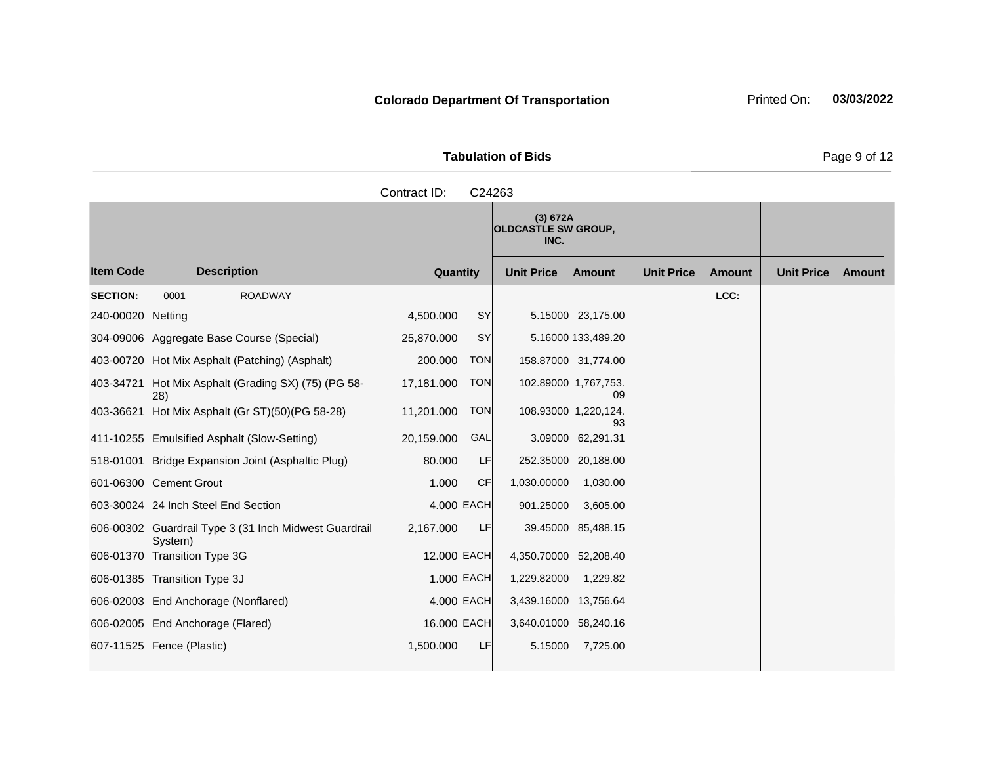| <b>Tabulation of Bids</b> |                                                                                                     |  |  |  |  |  |
|---------------------------|-----------------------------------------------------------------------------------------------------|--|--|--|--|--|
| Contract ID: C24263       |                                                                                                     |  |  |  |  |  |
|                           | $\left  \begin{array}{c} \text{(3) 672A} \\ \text{OLDCASTLE SW GROUP}, \end{array} \right.$<br>INC. |  |  |  |  |  |

|                   |                                                                  |             |            | , וטטווט ווע שבו טמטשע<br>INC. |                     |                   |               |                   |               |
|-------------------|------------------------------------------------------------------|-------------|------------|--------------------------------|---------------------|-------------------|---------------|-------------------|---------------|
| <b>Item Code</b>  | <b>Description</b>                                               | Quantity    |            | <b>Unit Price</b>              | <b>Amount</b>       | <b>Unit Price</b> | <b>Amount</b> | <b>Unit Price</b> | <b>Amount</b> |
| <b>SECTION:</b>   | <b>ROADWAY</b><br>0001                                           |             |            |                                |                     |                   | LCC:          |                   |               |
| 240-00020 Netting |                                                                  | 4,500.000   | <b>SY</b>  |                                | 5.15000 23,175.00   |                   |               |                   |               |
|                   | 304-09006 Aggregate Base Course (Special)                        | 25,870.000  | <b>SY</b>  |                                | 5.16000 133,489.20  |                   |               |                   |               |
|                   | 403-00720 Hot Mix Asphalt (Patching) (Asphalt)                   | 200.000     | <b>TON</b> |                                | 158.87000 31,774.00 |                   |               |                   |               |
|                   | 403-34721 Hot Mix Asphalt (Grading SX) (75) (PG 58-<br>28)       | 17,181.000  | <b>TON</b> | 102.89000 1,767,753.           | 09                  |                   |               |                   |               |
|                   | 403-36621 Hot Mix Asphalt (Gr ST)(50)(PG 58-28)                  | 11,201.000  | <b>TON</b> | 108.93000 1,220,124.           | 93                  |                   |               |                   |               |
|                   | 411-10255 Emulsified Asphalt (Slow-Setting)                      | 20,159.000  | GAL        |                                | 3.09000 62,291.31   |                   |               |                   |               |
|                   | 518-01001 Bridge Expansion Joint (Asphaltic Plug)                | 80.000      | LF         |                                | 252.35000 20,188.00 |                   |               |                   |               |
|                   | 601-06300 Cement Grout                                           | 1.000       | <b>CF</b>  | 1,030.00000                    | 1,030.00            |                   |               |                   |               |
|                   | 603-30024 24 Inch Steel End Section                              | 4,000 EACH  |            | 901.25000                      | 3,605.00            |                   |               |                   |               |
|                   | 606-00302 Guardrail Type 3 (31 Inch Midwest Guardrail<br>System) | 2,167.000   | LF         |                                | 39.45000 85,488.15  |                   |               |                   |               |
|                   | 606-01370 Transition Type 3G                                     | 12.000 EACH |            | 4,350.70000 52,208.40          |                     |                   |               |                   |               |
|                   | 606-01385 Transition Type 3J                                     | 1.000 EACH  |            | 1,229.82000                    | 1,229.82            |                   |               |                   |               |
|                   | 606-02003 End Anchorage (Nonflared)                              | 4,000 EACH  |            | 3,439.16000 13,756.64          |                     |                   |               |                   |               |
|                   | 606-02005 End Anchorage (Flared)                                 | 16.000 EACH |            | 3,640.01000 58,240.16          |                     |                   |               |                   |               |
|                   | 607-11525 Fence (Plastic)                                        | 1,500.000   | LF         | 5.15000                        | 7,725.00            |                   |               |                   |               |

**Page 9 of 12**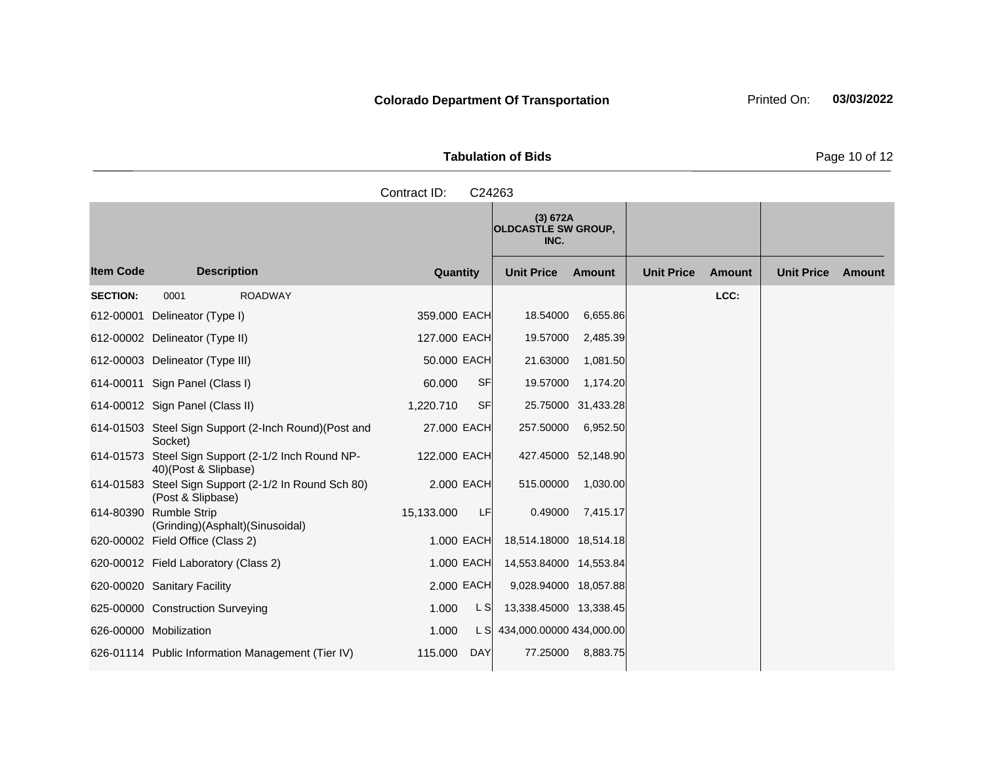**Tabulation of Bids** Page 10 of 12

|                  |                                                        |                                                       | Contract ID:    |           | C24263                                         |                     |                   |               |                   |        |
|------------------|--------------------------------------------------------|-------------------------------------------------------|-----------------|-----------|------------------------------------------------|---------------------|-------------------|---------------|-------------------|--------|
|                  |                                                        |                                                       |                 |           | (3) 672A<br><b>OLDCASTLE SW GROUP,</b><br>INC. |                     |                   |               |                   |        |
| <b>Item Code</b> | <b>Description</b>                                     |                                                       | <b>Quantity</b> |           | <b>Unit Price</b>                              | <b>Amount</b>       | <b>Unit Price</b> | <b>Amount</b> | <b>Unit Price</b> | Amount |
| <b>SECTION:</b>  | 0001                                                   | <b>ROADWAY</b>                                        |                 |           |                                                |                     |                   | LCC:          |                   |        |
| 612-00001        | Delineator (Type I)                                    |                                                       | 359.000 EACH    |           | 18.54000                                       | 6,655.86            |                   |               |                   |        |
|                  | 612-00002 Delineator (Type II)                         |                                                       | 127.000 EACH    |           | 19.57000                                       | 2,485.39            |                   |               |                   |        |
|                  | 612-00003 Delineator (Type III)                        |                                                       | 50.000 EACH     |           | 21.63000                                       | 1,081.50            |                   |               |                   |        |
|                  | 614-00011 Sign Panel (Class I)                         |                                                       | 60.000          | <b>SF</b> | 19.57000                                       | 1,174.20            |                   |               |                   |        |
|                  | 614-00012 Sign Panel (Class II)                        |                                                       | 1,220.710       | <b>SF</b> |                                                | 25.75000 31,433.28  |                   |               |                   |        |
|                  | Socket)                                                | 614-01503 Steel Sign Support (2-Inch Round) (Post and | 27.000 EACH     |           | 257.50000                                      | 6,952.50            |                   |               |                   |        |
| 614-01573        | 40)(Post & Slipbase)                                   | Steel Sign Support (2-1/2 Inch Round NP-              | 122.000 EACH    |           |                                                | 427.45000 52,148.90 |                   |               |                   |        |
| 614-01583        | (Post & Slipbase)                                      | Steel Sign Support (2-1/2 In Round Sch 80)            | 2.000 EACH      |           | 515.00000                                      | 1,030.00            |                   |               |                   |        |
| 614-80390        | <b>Rumble Strip</b><br>(Grinding)(Asphalt)(Sinusoidal) |                                                       | 15,133.000      | LF        | 0.49000                                        | 7,415.17            |                   |               |                   |        |

620-00002 Field Office (Class 2) 1.000 EACH 18,514.18000 18,514.18 620-00012 Field Laboratory (Class 2) 1.000 EACH 14,553.84000 14,553.84 620-00020 Sanitary Facility 2.000 EACH 9,028.94000 18,057.88 625-00000 Construction Surveying 1.000 L S 13,338.45000 13,338.45 626-00000 Mobilization 1.000 L S 434,000.00000 434,000.00 626-01114 Public Information Management (Tier IV) 115.000 DAY 77.25000 8,883.75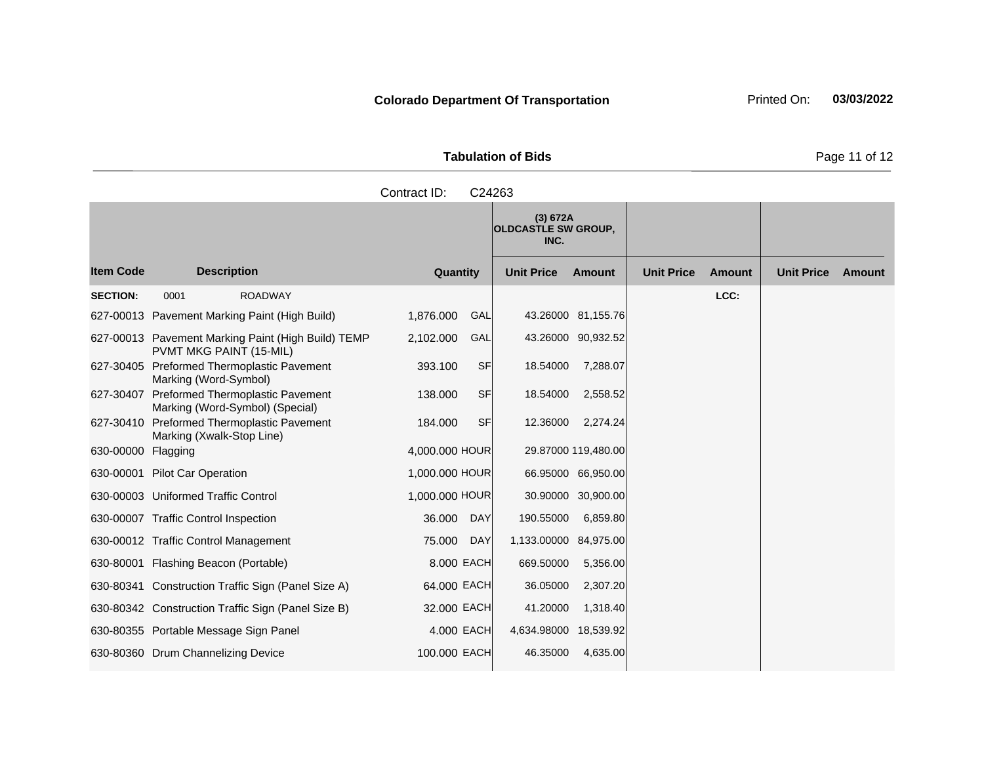|                     | <b>Tabulation of Bids</b> |
|---------------------|---------------------------|
| Contract ID: C24263 |                           |

**Quantity Unit Price Unit Price Item Code Amount Unit Price Amount Ext Ext Unit Price Amount Ext (3) 672A OLDCASTLE SW GROUP, INC. Description SECTION:** 0001 ROADWAY **LCC:** 627-00013 Pavement Marking Paint (High Build) 1,876.000 GAL 43.26000 81,155.76 627-00013 Pavement Marking Paint (High Build) TEMP PVMT MKG PAINT (15-MIL) 2,102.000 GAL 43.26000 90,932.52 627-30405 Preformed Thermoplastic Pavement Marking (Word-Symbol) 393.100 SF 18.54000 7,288.07 627-30407 Preformed Thermoplastic Pavement Marking (Word-Symbol) (Special) 138,000 SF 18.54000 2,558.52 627-30410 Preformed Thermoplastic Pavement Marking (Xwalk-Stop Line) 184.000 SF 12.36000 2,274.24 630-00000 Flagging 4,000.000 HOUR 29.87000 119,480.00 630-00001 Pilot Car Operation 1,000.000 HOUR 66.95000 66,950.00 630-00003 Uniformed Traffic Control 1,000.000 HOUR 30.90000 30,900.00 630-00007 Traffic Control Inspection 36.000 DAY 190.55000 6,859.80 630-00012 Traffic Control Management 75.000 DAY 1,133.00000 84,975.00 630-80001 Flashing Beacon (Portable) 8.000 EACH 669.50000 5,356.00 630-80341 Construction Traffic Sign (Panel Size A) 64.000 EACH 36.05000 2,307.20 630-80342 Construction Traffic Sign (Panel Size B) 32.000 EACH 41.20000 1,318.40 630-80355 Portable Message Sign Panel 4.000 EACH 4,634.98000 18,539.92 630-80360 Drum Channelizing Device 100.000 EACH 46.35000 4,635.00

Page 11 of 12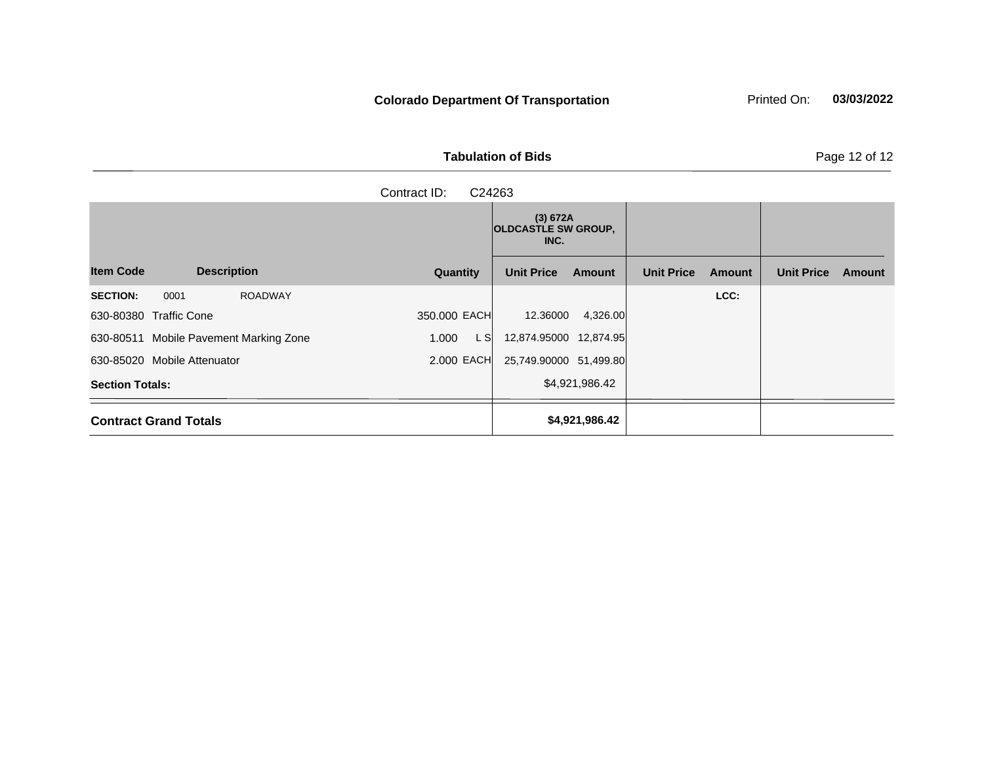Tabulation of Bids **Page 12 of 12** 

|                                           | C24263        |                                                |                                    |                             |
|-------------------------------------------|---------------|------------------------------------------------|------------------------------------|-----------------------------|
|                                           |               | (3) 672A<br><b>OLDCASTLE SW GROUP,</b><br>INC. |                                    |                             |
| <b>Item Code</b><br><b>Description</b>    | Quantity      | <b>Unit Price</b><br><b>Amount</b>             | <b>Unit Price</b><br><b>Amount</b> | <b>Unit Price</b><br>Amount |
| <b>ROADWAY</b><br><b>SECTION:</b><br>0001 |               |                                                | LCC:                               |                             |
| 630-80380 Traffic Cone                    | 350.000 EACH  | 4,326.00<br>12.36000                           |                                    |                             |
| 630-80511 Mobile Pavement Marking Zone    | L SI<br>1.000 | 12,874.95000 12,874.95                         |                                    |                             |
| 630-85020 Mobile Attenuator               | 2.000 EACH    | 25,749.90000 51,499.80                         |                                    |                             |
| <b>Section Totals:</b>                    |               | \$4,921,986.42                                 |                                    |                             |
| <b>Contract Grand Totals</b>              |               | \$4,921,986.42                                 |                                    |                             |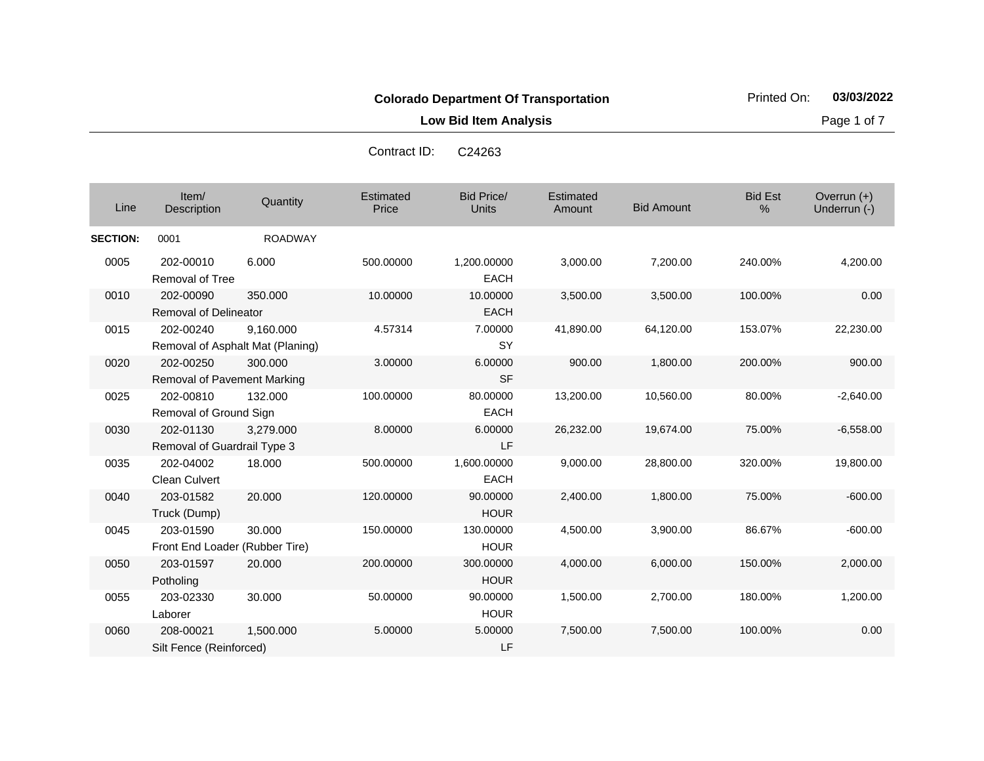**Low Bid Item Analysis Page 1 of 7** 

|                 |                                                 |                                               | Contract ID:       | <u>UZ4203</u>              |                     |                   |                     |                               |
|-----------------|-------------------------------------------------|-----------------------------------------------|--------------------|----------------------------|---------------------|-------------------|---------------------|-------------------------------|
| Line            | Item/<br>Description                            | Quantity                                      | Estimated<br>Price | <b>Bid Price/</b><br>Units | Estimated<br>Amount | <b>Bid Amount</b> | <b>Bid Est</b><br>% | Overrun $(+)$<br>Underrun (-) |
| <b>SECTION:</b> | 0001                                            | <b>ROADWAY</b>                                |                    |                            |                     |                   |                     |                               |
| 0005            | 202-00010<br><b>Removal of Tree</b>             | 6.000                                         | 500.00000          | 1,200.00000<br><b>EACH</b> | 3,000.00            | 7,200.00          | 240.00%             | 4,200.00                      |
| 0010            | 202-00090<br><b>Removal of Delineator</b>       | 350.000                                       | 10.00000           | 10.00000<br><b>EACH</b>    | 3,500.00            | 3,500.00          | 100.00%             | 0.00                          |
| 0015            | 202-00240                                       | 9,160.000<br>Removal of Asphalt Mat (Planing) | 4.57314            | 7.00000<br><b>SY</b>       | 41,890.00           | 64,120.00         | 153.07%             | 22,230.00                     |
| 0020            | 202-00250<br><b>Removal of Pavement Marking</b> | 300,000                                       | 3.00000            | 6.00000<br><b>SF</b>       | 900.00              | 1,800.00          | 200.00%             | 900.00                        |
| 0025            | 202-00810<br>Removal of Ground Sign             | 132,000                                       | 100.00000          | 80.00000<br>EACH           | 13,200.00           | 10,560.00         | 80.00%              | $-2,640.00$                   |
| 0030            | 202-01130<br>Removal of Guardrail Type 3        | 3,279.000                                     | 8.00000            | 6.00000<br>LF              | 26,232.00           | 19,674.00         | 75.00%              | $-6,558.00$                   |
| 0035            | 202-04002<br><b>Clean Culvert</b>               | 18.000                                        | 500.00000          | 1,600.00000<br>EACH        | 9,000.00            | 28,800.00         | 320.00%             | 19,800.00                     |
| 0040            | 203-01582<br>Truck (Dump)                       | 20.000                                        | 120.00000          | 90.00000<br><b>HOUR</b>    | 2,400.00            | 1,800.00          | 75.00%              | $-600.00$                     |
| 0045            | 203-01590<br>Front End Loader (Rubber Tire)     | 30.000                                        | 150.00000          | 130.00000<br><b>HOUR</b>   | 4,500.00            | 3,900.00          | 86.67%              | $-600.00$                     |
| 0050            | 203-01597<br>Potholing                          | 20.000                                        | 200.00000          | 300.00000<br><b>HOUR</b>   | 4,000.00            | 6,000.00          | 150.00%             | 2,000.00                      |
| 0055            | 203-02330<br>Laborer                            | 30.000                                        | 50.00000           | 90.00000<br><b>HOUR</b>    | 1,500.00            | 2,700.00          | 180.00%             | 1,200.00                      |
| 0060            | 208-00021<br>Silt Fence (Reinforced)            | 1,500.000                                     | 5.00000            | 5.00000<br>LF              | 7,500.00            | 7,500.00          | 100.00%             | 0.00                          |

Contract ID: C24263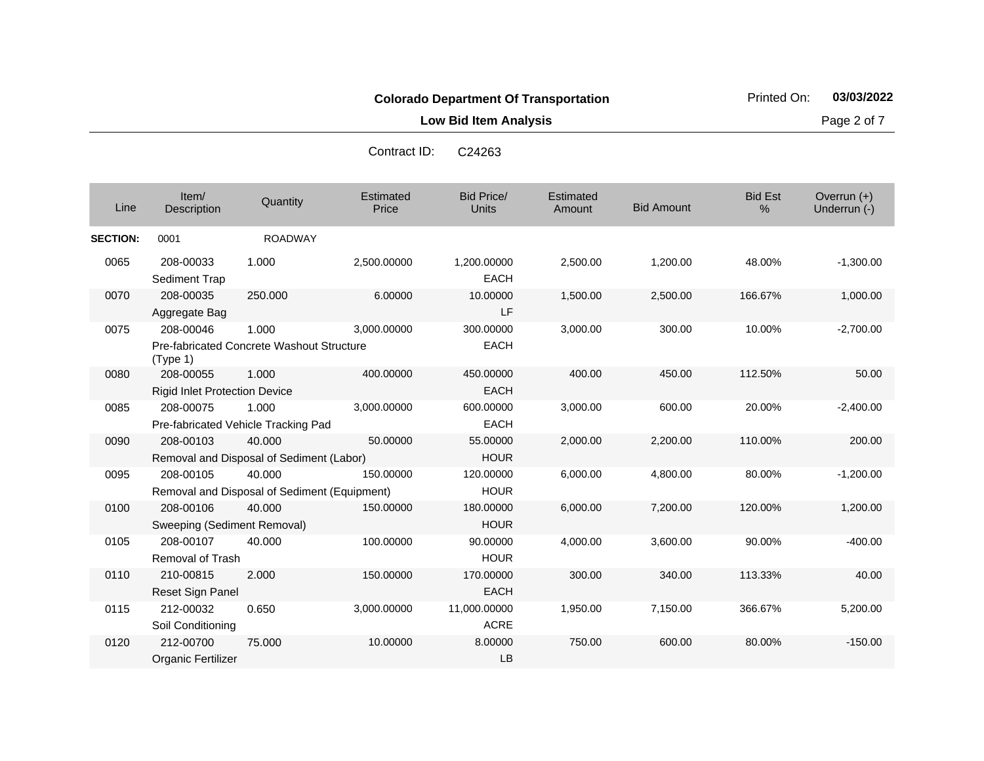**Low Bid Item Analysis Page 2 of 7** 

| Contract ID: | C <sub>24263</sub> |
|--------------|--------------------|
|--------------|--------------------|

| Line            | Item/<br><b>Description</b>                       | Quantity                                                  | Estimated<br>Price | <b>Bid Price/</b><br>Units  | Estimated<br>Amount | <b>Bid Amount</b> | <b>Bid Est</b><br>% | Overrun $(+)$<br>Underrun (-) |
|-----------------|---------------------------------------------------|-----------------------------------------------------------|--------------------|-----------------------------|---------------------|-------------------|---------------------|-------------------------------|
| <b>SECTION:</b> | 0001                                              | <b>ROADWAY</b>                                            |                    |                             |                     |                   |                     |                               |
| 0065            | 208-00033<br>Sediment Trap                        | 1.000                                                     | 2,500.00000        | 1,200.00000<br><b>EACH</b>  | 2,500.00            | 1,200.00          | 48.00%              | $-1,300.00$                   |
| 0070            | 208-00035<br>Aggregate Bag                        | 250.000                                                   | 6.00000            | 10.00000<br>LF              | 1,500.00            | 2,500.00          | 166.67%             | 1,000.00                      |
| 0075            | 208-00046<br>(Type 1)                             | 1.000<br><b>Pre-fabricated Concrete Washout Structure</b> | 3,000.00000        | 300.00000<br><b>EACH</b>    | 3,000.00            | 300.00            | 10.00%              | $-2,700.00$                   |
| 0080            | 208-00055<br><b>Rigid Inlet Protection Device</b> | 1.000                                                     | 400.00000          | 450.00000<br><b>EACH</b>    | 400.00              | 450.00            | 112.50%             | 50.00                         |
| 0085            | 208-00075                                         | 1.000<br>Pre-fabricated Vehicle Tracking Pad              | 3,000.00000        | 600.00000<br><b>EACH</b>    | 3,000.00            | 600.00            | 20.00%              | $-2,400.00$                   |
| 0090            | 208-00103                                         | 40.000<br>Removal and Disposal of Sediment (Labor)        | 50.00000           | 55.00000<br><b>HOUR</b>     | 2,000.00            | 2,200.00          | 110.00%             | 200.00                        |
| 0095            | 208-00105                                         | 40.000<br>Removal and Disposal of Sediment (Equipment)    | 150.00000          | 120.00000<br><b>HOUR</b>    | 6,000.00            | 4,800.00          | 80.00%              | $-1,200.00$                   |
| 0100            | 208-00106<br>Sweeping (Sediment Removal)          | 40.000                                                    | 150.00000          | 180.00000<br><b>HOUR</b>    | 6,000.00            | 7,200.00          | 120.00%             | 1,200.00                      |
| 0105            | 208-00107<br><b>Removal of Trash</b>              | 40.000                                                    | 100.00000          | 90.00000<br><b>HOUR</b>     | 4,000.00            | 3,600.00          | 90.00%              | $-400.00$                     |
| 0110            | 210-00815<br>Reset Sign Panel                     | 2.000                                                     | 150.00000          | 170.00000<br><b>EACH</b>    | 300.00              | 340.00            | 113.33%             | 40.00                         |
| 0115            | 212-00032<br>Soil Conditioning                    | 0.650                                                     | 3,000.00000        | 11,000.00000<br><b>ACRE</b> | 1,950.00            | 7,150.00          | 366.67%             | 5,200.00                      |
| 0120            | 212-00700<br>Organic Fertilizer                   | 75.000                                                    | 10.00000           | 8.00000<br>LB               | 750.00              | 600.00            | 80.00%              | $-150.00$                     |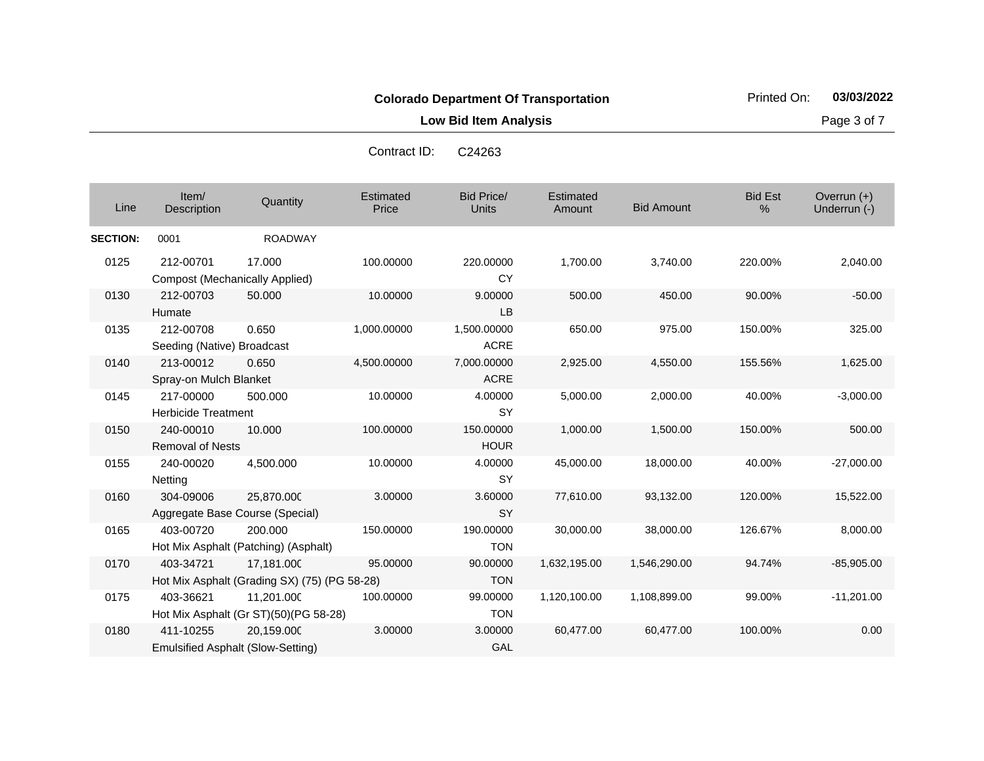**Low Bid Item Analysis Page 3 of 7** 

| Line            | Item/<br>Description                               | Quantity                                                   | Estimated<br>Price | Bid Price/<br><b>Units</b> | Estimated<br>Amount | <b>Bid Amount</b> | <b>Bid Est</b><br>% | Overrun $(+)$<br>Underrun (-) |
|-----------------|----------------------------------------------------|------------------------------------------------------------|--------------------|----------------------------|---------------------|-------------------|---------------------|-------------------------------|
| <b>SECTION:</b> | 0001                                               | <b>ROADWAY</b>                                             |                    |                            |                     |                   |                     |                               |
| 0125            | 212-00701<br><b>Compost (Mechanically Applied)</b> | 17.000                                                     | 100.00000          | 220.00000<br><b>CY</b>     | 1,700.00            | 3,740.00          | 220.00%             | 2,040.00                      |
| 0130            | 212-00703<br>Humate                                | 50,000                                                     | 10.00000           | 9.00000<br><b>LB</b>       | 500.00              | 450.00            | 90.00%              | $-50.00$                      |
| 0135            | 212-00708<br>Seeding (Native) Broadcast            | 0.650                                                      | 1,000.00000        | 1,500.00000<br><b>ACRE</b> | 650.00              | 975.00            | 150.00%             | 325.00                        |
| 0140            | 213-00012<br>Spray-on Mulch Blanket                | 0.650                                                      | 4,500.00000        | 7,000.00000<br><b>ACRE</b> | 2,925.00            | 4,550.00          | 155.56%             | 1,625.00                      |
| 0145            | 217-00000<br><b>Herbicide Treatment</b>            | 500.000                                                    | 10.00000           | 4.00000<br><b>SY</b>       | 5,000.00            | 2,000.00          | 40.00%              | $-3,000.00$                   |
| 0150            | 240-00010<br>Removal of Nests                      | 10.000                                                     | 100.00000          | 150.00000<br><b>HOUR</b>   | 1,000.00            | 1,500.00          | 150.00%             | 500.00                        |
| 0155            | 240-00020<br><b>Netting</b>                        | 4,500.000                                                  | 10.00000           | 4.00000<br><b>SY</b>       | 45,000.00           | 18,000.00         | 40.00%              | $-27,000.00$                  |
| 0160            | 304-09006                                          | 25,870.000<br>Aggregate Base Course (Special)              | 3.00000            | 3.60000<br><b>SY</b>       | 77,610.00           | 93,132.00         | 120.00%             | 15,522.00                     |
| 0165            | 403-00720                                          | 200.000<br>Hot Mix Asphalt (Patching) (Asphalt)            | 150.00000          | 190.00000<br><b>TON</b>    | 30,000.00           | 38,000.00         | 126.67%             | 8,000.00                      |
| 0170            | 403-34721                                          | 17.181.000<br>Hot Mix Asphalt (Grading SX) (75) (PG 58-28) | 95.00000           | 90.00000<br><b>TON</b>     | 1,632,195.00        | 1,546,290.00      | 94.74%              | $-85,905.00$                  |
| 0175            | 403-36621                                          | 11,201.000<br>Hot Mix Asphalt (Gr ST)(50)(PG 58-28)        | 100.00000          | 99.00000<br><b>TON</b>     | 1,120,100.00        | 1,108,899.00      | 99.00%              | $-11,201.00$                  |
| 0180            | 411-10255                                          | 20,159.000<br>Emulsified Asphalt (Slow-Setting)            | 3.00000            | 3.00000<br>GAL             | 60,477.00           | 60,477.00         | 100.00%             | 0.00                          |

Contract ID: C24263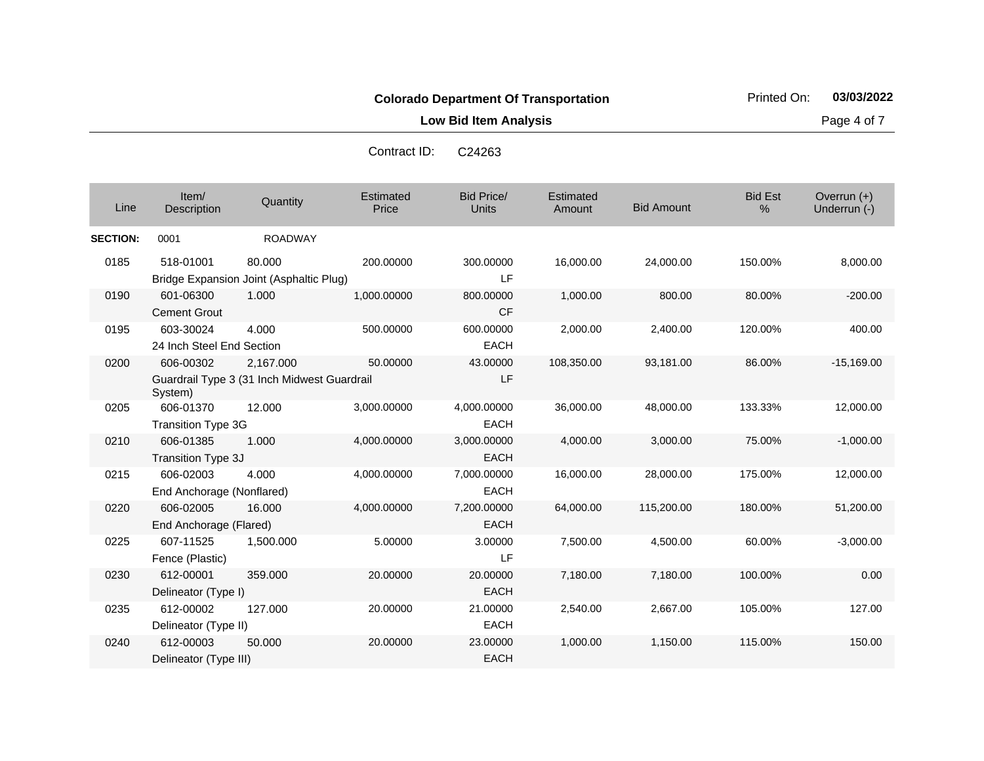**Low Bid Item Analysis Page 4 of 7** 

| C <sub>24263</sub> |
|--------------------|
|                    |

| Line            | Item/<br>Description                   | Quantity                                                 | <b>Estimated</b><br>Price | <b>Bid Price/</b><br><b>Units</b> | Estimated<br>Amount | <b>Bid Amount</b> | <b>Bid Est</b><br>% | Overrun (+)<br>Underrun (-) |
|-----------------|----------------------------------------|----------------------------------------------------------|---------------------------|-----------------------------------|---------------------|-------------------|---------------------|-----------------------------|
| <b>SECTION:</b> | 0001                                   | <b>ROADWAY</b>                                           |                           |                                   |                     |                   |                     |                             |
| 0185            | 518-01001                              | 80.000<br>Bridge Expansion Joint (Asphaltic Plug)        | 200.00000                 | 300.00000<br>LF                   | 16,000.00           | 24,000.00         | 150.00%             | 8,000.00                    |
| 0190            | 601-06300<br><b>Cement Grout</b>       | 1.000                                                    | 1,000.00000               | 800.00000<br><b>CF</b>            | 1,000.00            | 800.00            | 80.00%              | $-200.00$                   |
| 0195            | 603-30024<br>24 Inch Steel End Section | 4.000                                                    | 500.00000                 | 600.00000<br><b>EACH</b>          | 2,000.00            | 2,400.00          | 120.00%             | 400.00                      |
| 0200            | 606-00302<br>System)                   | 2,167.000<br>Guardrail Type 3 (31 Inch Midwest Guardrail | 50.00000                  | 43.00000<br>LF                    | 108,350.00          | 93,181.00         | 86.00%              | $-15,169.00$                |
| 0205            | 606-01370<br><b>Transition Type 3G</b> | 12.000                                                   | 3,000.00000               | 4,000.00000<br><b>EACH</b>        | 36,000.00           | 48,000.00         | 133.33%             | 12,000.00                   |
| 0210            | 606-01385<br>Transition Type 3J        | 1.000                                                    | 4,000.00000               | 3,000.00000<br><b>EACH</b>        | 4,000.00            | 3,000.00          | 75.00%              | $-1,000.00$                 |
| 0215            | 606-02003<br>End Anchorage (Nonflared) | 4.000                                                    | 4,000.00000               | 7,000.00000<br><b>EACH</b>        | 16,000.00           | 28,000.00         | 175.00%             | 12,000.00                   |
| 0220            | 606-02005<br>End Anchorage (Flared)    | 16.000                                                   | 4,000.00000               | 7,200.00000<br><b>EACH</b>        | 64,000.00           | 115,200.00        | 180.00%             | 51,200.00                   |
| 0225            | 607-11525<br>Fence (Plastic)           | 1,500.000                                                | 5.00000                   | 3.00000<br>LF                     | 7,500.00            | 4,500.00          | 60.00%              | $-3,000.00$                 |
| 0230            | 612-00001<br>Delineator (Type I)       | 359.000                                                  | 20.00000                  | 20.00000<br><b>EACH</b>           | 7,180.00            | 7,180.00          | 100.00%             | 0.00                        |
| 0235            | 612-00002<br>Delineator (Type II)      | 127.000                                                  | 20.00000                  | 21.00000<br><b>EACH</b>           | 2,540.00            | 2,667.00          | 105.00%             | 127.00                      |
| 0240            | 612-00003<br>Delineator (Type III)     | 50.000                                                   | 20.00000                  | 23.00000<br><b>EACH</b>           | 1,000.00            | 1,150.00          | 115.00%             | 150.00                      |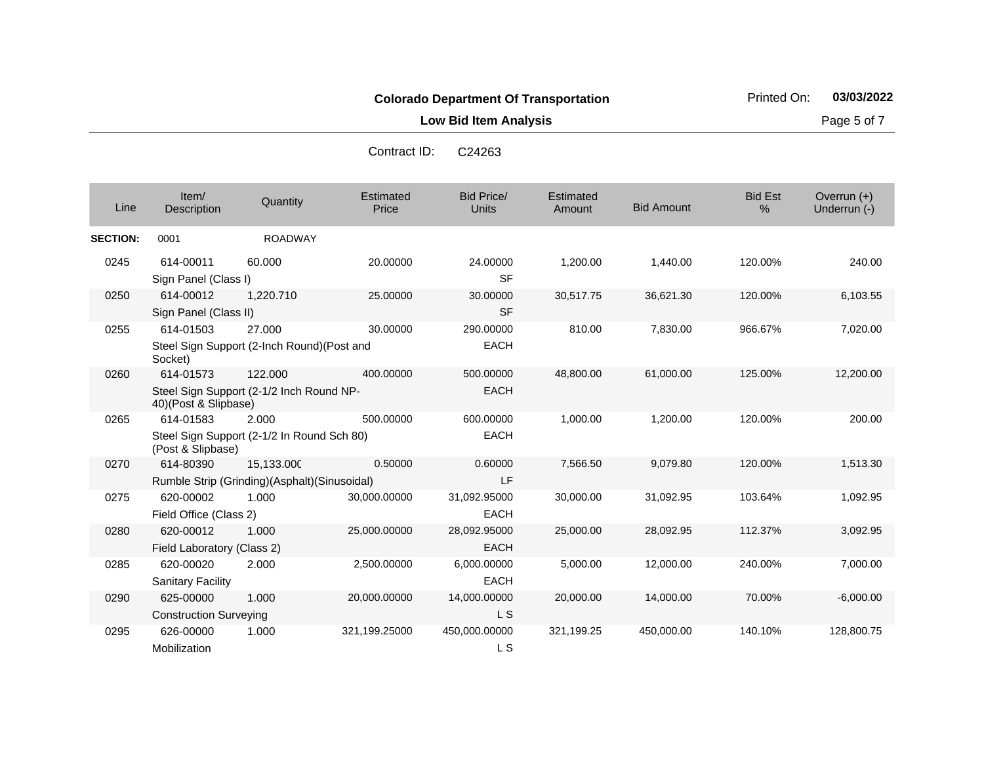**Low Bid Item Analysis Page 5 of 7** 

| Contract ID: | C <sub>24263</sub> |
|--------------|--------------------|
|--------------|--------------------|

| Line            | Item/<br>Description                       | Quantity                                                   | Estimated<br>Price | <b>Bid Price/</b><br><b>Units</b> | Estimated<br>Amount | <b>Bid Amount</b> | <b>Bid Est</b><br>% | Overrun (+)<br>Underrun (-) |
|-----------------|--------------------------------------------|------------------------------------------------------------|--------------------|-----------------------------------|---------------------|-------------------|---------------------|-----------------------------|
| <b>SECTION:</b> | 0001                                       | <b>ROADWAY</b>                                             |                    |                                   |                     |                   |                     |                             |
| 0245            | 614-00011<br>Sign Panel (Class I)          | 60.000                                                     | 20.00000           | 24.00000<br><b>SF</b>             | 1,200.00            | 1,440.00          | 120.00%             | 240.00                      |
| 0250            | 614-00012<br>Sign Panel (Class II)         | 1,220.710                                                  | 25.00000           | 30.00000<br><b>SF</b>             | 30,517.75           | 36,621.30         | 120.00%             | 6,103.55                    |
| 0255            | 614-01503<br>Socket)                       | 27.000<br>Steel Sign Support (2-Inch Round)(Post and       | 30.00000           | 290.00000<br><b>EACH</b>          | 810.00              | 7,830.00          | 966.67%             | 7,020.00                    |
| 0260            | 614-01573<br>40)(Post & Slipbase)          | 122,000<br>Steel Sign Support (2-1/2 Inch Round NP-        | 400.00000          | 500.00000<br><b>EACH</b>          | 48,800.00           | 61,000.00         | 125.00%             | 12,200.00                   |
| 0265            | 614-01583<br>(Post & Slipbase)             | 2.000<br>Steel Sign Support (2-1/2 In Round Sch 80)        | 500.00000          | 600.00000<br><b>EACH</b>          | 1,000.00            | 1,200.00          | 120.00%             | 200.00                      |
| 0270            | 614-80390                                  | 15,133.000<br>Rumble Strip (Grinding)(Asphalt)(Sinusoidal) | 0.50000            | 0.60000<br>LF                     | 7,566.50            | 9,079.80          | 120.00%             | 1,513.30                    |
| 0275            | 620-00002<br>Field Office (Class 2)        | 1.000                                                      | 30,000.00000       | 31,092.95000<br><b>EACH</b>       | 30,000.00           | 31,092.95         | 103.64%             | 1,092.95                    |
| 0280            | 620-00012<br>Field Laboratory (Class 2)    | 1.000                                                      | 25,000.00000       | 28,092.95000<br><b>EACH</b>       | 25,000.00           | 28,092.95         | 112.37%             | 3,092.95                    |
| 0285            | 620-00020<br><b>Sanitary Facility</b>      | 2.000                                                      | 2,500.00000        | 6,000.00000<br><b>EACH</b>        | 5,000.00            | 12,000.00         | 240.00%             | 7,000.00                    |
| 0290            | 625-00000<br><b>Construction Surveying</b> | 1.000                                                      | 20,000.00000       | 14,000.00000<br>L S               | 20,000.00           | 14,000.00         | 70.00%              | $-6,000.00$                 |
| 0295            | 626-00000<br>Mobilization                  | 1.000                                                      | 321,199.25000      | 450,000.00000<br>L S              | 321,199.25          | 450,000.00        | 140.10%             | 128,800.75                  |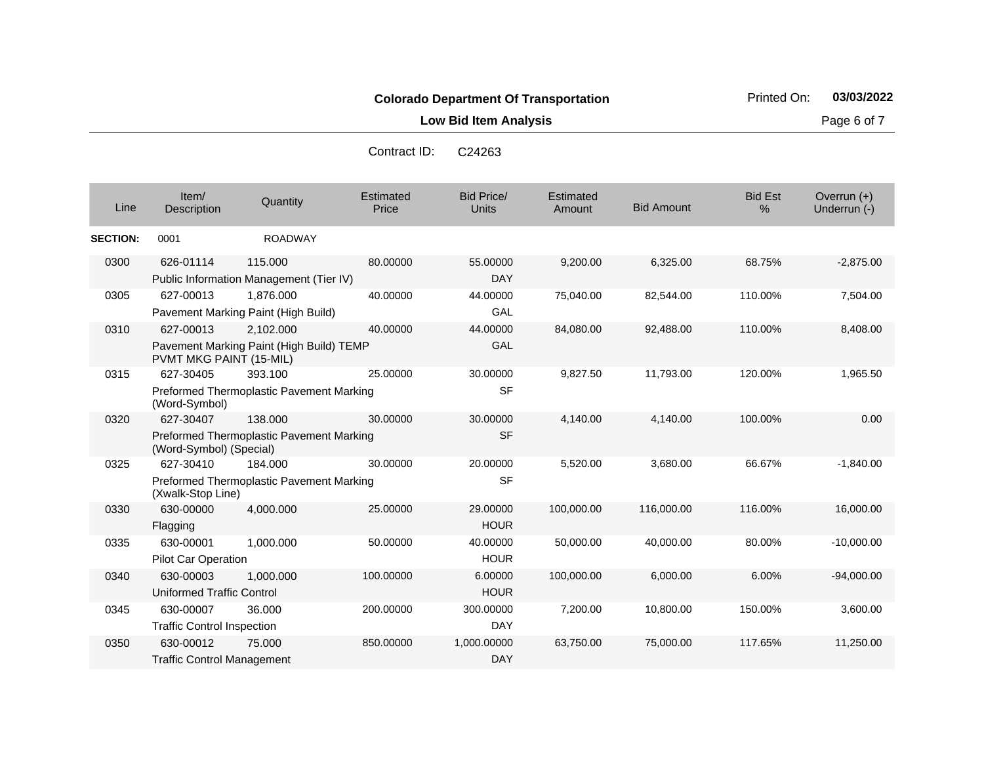**Low Bid Item Analysis Page 6 of 7** 

| C <sub>24263</sub> |
|--------------------|
|                    |

| Line            | Item/<br>Description                           | Quantity                                              | Estimated<br>Price | <b>Bid Price/</b><br><b>Units</b> | Estimated<br>Amount | <b>Bid Amount</b> | <b>Bid Est</b><br>% | Overrun $(+)$<br>Underrun (-) |
|-----------------|------------------------------------------------|-------------------------------------------------------|--------------------|-----------------------------------|---------------------|-------------------|---------------------|-------------------------------|
| <b>SECTION:</b> | 0001                                           | <b>ROADWAY</b>                                        |                    |                                   |                     |                   |                     |                               |
| 0300            | 626-01114                                      | 115.000<br>Public Information Management (Tier IV)    | 80.00000           | 55.00000<br><b>DAY</b>            | 9,200.00            | 6,325.00          | 68.75%              | $-2,875.00$                   |
| 0305            | 627-00013                                      | 1,876.000<br>Pavement Marking Paint (High Build)      | 40.00000           | 44.00000<br>GAL                   | 75,040.00           | 82,544.00         | 110.00%             | 7,504.00                      |
| 0310            | 627-00013<br>PVMT MKG PAINT (15-MIL)           | 2,102.000<br>Pavement Marking Paint (High Build) TEMP | 40.00000           | 44.00000<br><b>GAL</b>            | 84,080.00           | 92,488.00         | 110.00%             | 8,408.00                      |
| 0315            | 627-30405<br>(Word-Symbol)                     | 393.100<br>Preformed Thermoplastic Pavement Marking   | 25.00000           | 30.00000<br><b>SF</b>             | 9,827.50            | 11,793.00         | 120.00%             | 1,965.50                      |
| 0320            | 627-30407<br>(Word-Symbol) (Special)           | 138.000<br>Preformed Thermoplastic Pavement Marking   | 30.00000           | 30.00000<br><b>SF</b>             | 4,140.00            | 4,140.00          | 100.00%             | 0.00                          |
| 0325            | 627-30410<br>(Xwalk-Stop Line)                 | 184.000<br>Preformed Thermoplastic Pavement Marking   | 30.00000           | 20.00000<br><b>SF</b>             | 5,520.00            | 3,680.00          | 66.67%              | $-1,840.00$                   |
| 0330            | 630-00000<br>Flagging                          | 4,000.000                                             | 25.00000           | 29.00000<br><b>HOUR</b>           | 100,000.00          | 116,000.00        | 116.00%             | 16,000.00                     |
| 0335            | 630-00001<br>Pilot Car Operation               | 1,000.000                                             | 50.00000           | 40.00000<br><b>HOUR</b>           | 50,000.00           | 40,000.00         | 80.00%              | $-10,000.00$                  |
| 0340            | 630-00003<br><b>Uniformed Traffic Control</b>  | 1,000.000                                             | 100.00000          | 6.00000<br><b>HOUR</b>            | 100,000.00          | 6,000.00          | 6.00%               | $-94,000.00$                  |
| 0345            | 630-00007<br><b>Traffic Control Inspection</b> | 36.000                                                | 200.00000          | 300.00000<br><b>DAY</b>           | 7,200.00            | 10,800.00         | 150.00%             | 3,600.00                      |
| 0350            | 630-00012<br><b>Traffic Control Management</b> | 75,000                                                | 850.00000          | 1,000.00000<br><b>DAY</b>         | 63,750.00           | 75,000.00         | 117.65%             | 11,250.00                     |